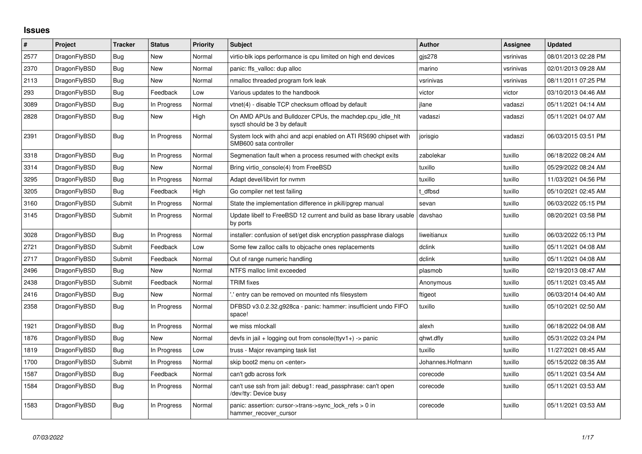## **Issues**

| $\vert$ # | Project      | <b>Tracker</b> | <b>Status</b> | Priority | <b>Subject</b>                                                                             | <b>Author</b>    | Assignee  | <b>Updated</b>      |
|-----------|--------------|----------------|---------------|----------|--------------------------------------------------------------------------------------------|------------------|-----------|---------------------|
| 2577      | DragonFlyBSD | Bug            | <b>New</b>    | Normal   | virtio-blk iops performance is cpu limited on high end devices                             | gis278           | vsrinivas | 08/01/2013 02:28 PM |
| 2370      | DragonFlyBSD | Bug            | New           | Normal   | panic: ffs_valloc: dup alloc                                                               | marino           | vsrinivas | 02/01/2013 09:28 AM |
| 2113      | DragonFlyBSD | Bug            | New           | Normal   | nmalloc threaded program fork leak                                                         | vsrinivas        | vsrinivas | 08/11/2011 07:25 PM |
| 293       | DragonFlyBSD | <b>Bug</b>     | Feedback      | Low      | Various updates to the handbook                                                            | victor           | victor    | 03/10/2013 04:46 AM |
| 3089      | DragonFlyBSD | Bug            | In Progress   | Normal   | vtnet(4) - disable TCP checksum offload by default                                         | jlane            | vadaszi   | 05/11/2021 04:14 AM |
| 2828      | DragonFlyBSD | Bug            | New           | High     | On AMD APUs and Bulldozer CPUs, the machdep.cpu_idle_hlt<br>sysctl should be 3 by default  | vadaszi          | vadaszi   | 05/11/2021 04:07 AM |
| 2391      | DragonFlyBSD | <b>Bug</b>     | In Progress   | Normal   | System lock with ahci and acpi enabled on ATI RS690 chipset with<br>SMB600 sata controller | jorisgio         | vadaszi   | 06/03/2015 03:51 PM |
| 3318      | DragonFlyBSD | <b>Bug</b>     | In Progress   | Normal   | Segmenation fault when a process resumed with checkpt exits                                | zabolekar        | tuxillo   | 06/18/2022 08:24 AM |
| 3314      | DragonFlyBSD | Bug            | <b>New</b>    | Normal   | Bring virtio console(4) from FreeBSD                                                       | tuxillo          | tuxillo   | 05/29/2022 08:24 AM |
| 3295      | DragonFlyBSD | Bug            | In Progress   | Normal   | Adapt devel/libvirt for nymm                                                               | tuxillo          | tuxillo   | 11/03/2021 04:56 PM |
| 3205      | DragonFlyBSD | <b>Bug</b>     | Feedback      | High     | Go compiler net test failing                                                               | t dfbsd          | tuxillo   | 05/10/2021 02:45 AM |
| 3160      | DragonFlyBSD | Submit         | In Progress   | Normal   | State the implementation difference in pkill/pgrep manual                                  | sevan            | tuxillo   | 06/03/2022 05:15 PM |
| 3145      | DragonFlyBSD | Submit         | In Progress   | Normal   | Update libelf to FreeBSD 12 current and build as base library usable<br>by ports           | davshao          | tuxillo   | 08/20/2021 03:58 PM |
| 3028      | DragonFlyBSD | <b>Bug</b>     | In Progress   | Normal   | installer: confusion of set/get disk encryption passphrase dialogs                         | liweitianux      | tuxillo   | 06/03/2022 05:13 PM |
| 2721      | DragonFlyBSD | Submit         | Feedback      | Low      | Some few zalloc calls to objcache ones replacements                                        | dclink           | tuxillo   | 05/11/2021 04:08 AM |
| 2717      | DragonFlyBSD | Submit         | Feedback      | Normal   | Out of range numeric handling                                                              | dclink           | tuxillo   | 05/11/2021 04:08 AM |
| 2496      | DragonFlyBSD | <b>Bug</b>     | New           | Normal   | NTFS malloc limit exceeded                                                                 | plasmob          | tuxillo   | 02/19/2013 08:47 AM |
| 2438      | DragonFlyBSD | Submit         | Feedback      | Normal   | <b>TRIM</b> fixes                                                                          | Anonymous        | tuxillo   | 05/11/2021 03:45 AM |
| 2416      | DragonFlyBSD | <b>Bug</b>     | New           | Normal   | ".' entry can be removed on mounted nfs filesystem                                         | ftigeot          | tuxillo   | 06/03/2014 04:40 AM |
| 2358      | DragonFlyBSD | Bug            | In Progress   | Normal   | DFBSD v3.0.2.32.g928ca - panic: hammer: insufficient undo FIFO<br>space!                   | tuxillo          | tuxillo   | 05/10/2021 02:50 AM |
| 1921      | DragonFlyBSD | <b>Bug</b>     | In Progress   | Normal   | we miss mlockall                                                                           | alexh            | tuxillo   | 06/18/2022 04:08 AM |
| 1876      | DragonFlyBSD | Bug            | <b>New</b>    | Normal   | devfs in jail + logging out from console(ttyv1+) -> panic                                  | qhwt.dfly        | tuxillo   | 05/31/2022 03:24 PM |
| 1819      | DragonFlyBSD | Bug            | In Progress   | Low      | truss - Major revamping task list                                                          | tuxillo          | tuxillo   | 11/27/2021 08:45 AM |
| 1700      | DragonFlyBSD | Submit         | In Progress   | Normal   | skip boot2 menu on <enter></enter>                                                         | Johannes.Hofmann | tuxillo   | 05/15/2022 08:35 AM |
| 1587      | DragonFlyBSD | Bug            | Feedback      | Normal   | can't gdb across fork                                                                      | corecode         | tuxillo   | 05/11/2021 03:54 AM |
| 1584      | DragonFlyBSD | Bug            | In Progress   | Normal   | can't use ssh from jail: debug1: read passphrase: can't open<br>/dev/tty: Device busy      | corecode         | tuxillo   | 05/11/2021 03:53 AM |
| 1583      | DragonFlyBSD | <b>Bug</b>     | In Progress   | Normal   | panic: assertion: cursor->trans->sync_lock_refs > 0 in<br>hammer_recover_cursor            | corecode         | tuxillo   | 05/11/2021 03:53 AM |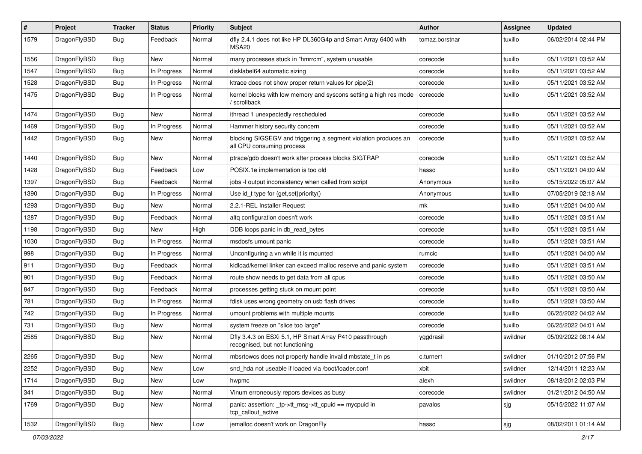| $\#$ | Project      | <b>Tracker</b> | <b>Status</b> | <b>Priority</b> | <b>Subject</b>                                                                               | <b>Author</b>  | <b>Assignee</b> | <b>Updated</b>      |
|------|--------------|----------------|---------------|-----------------|----------------------------------------------------------------------------------------------|----------------|-----------------|---------------------|
| 1579 | DragonFlyBSD | Bug            | Feedback      | Normal          | dfly 2.4.1 does not like HP DL360G4p and Smart Array 6400 with<br>MSA20                      | tomaz.borstnar | tuxillo         | 06/02/2014 02:44 PM |
| 1556 | DragonFlyBSD | Bug            | New           | Normal          | many processes stuck in "hmrrcm", system unusable                                            | corecode       | tuxillo         | 05/11/2021 03:52 AM |
| 1547 | DragonFlyBSD | <b>Bug</b>     | In Progress   | Normal          | disklabel64 automatic sizing                                                                 | corecode       | tuxillo         | 05/11/2021 03:52 AM |
| 1528 | DragonFlyBSD | Bug            | In Progress   | Normal          | ktrace does not show proper return values for pipe(2)                                        | corecode       | tuxillo         | 05/11/2021 03:52 AM |
| 1475 | DragonFlyBSD | <b>Bug</b>     | In Progress   | Normal          | kernel blocks with low memory and syscons setting a high res mode<br>/ scrollback            | corecode       | tuxillo         | 05/11/2021 03:52 AM |
| 1474 | DragonFlyBSD | Bug            | <b>New</b>    | Normal          | ithread 1 unexpectedly rescheduled                                                           | corecode       | tuxillo         | 05/11/2021 03:52 AM |
| 1469 | DragonFlyBSD | Bug            | In Progress   | Normal          | Hammer history security concern                                                              | corecode       | tuxillo         | 05/11/2021 03:52 AM |
| 1442 | DragonFlyBSD | Bug            | New           | Normal          | blocking SIGSEGV and triggering a segment violation produces an<br>all CPU consuming process | corecode       | tuxillo         | 05/11/2021 03:52 AM |
| 1440 | DragonFlyBSD | Bug            | New           | Normal          | ptrace/gdb doesn't work after process blocks SIGTRAP                                         | corecode       | tuxillo         | 05/11/2021 03:52 AM |
| 1428 | DragonFlyBSD | <b>Bug</b>     | Feedback      | Low             | POSIX.1e implementation is too old                                                           | hasso          | tuxillo         | 05/11/2021 04:00 AM |
| 1397 | DragonFlyBSD | <b>Bug</b>     | Feedback      | Normal          | jobs -I output inconsistency when called from script                                         | Anonymous      | tuxillo         | 05/15/2022 05:07 AM |
| 1390 | DragonFlyBSD | Bug            | In Progress   | Normal          | Use id_t type for {get,set}priority()                                                        | Anonymous      | tuxillo         | 07/05/2019 02:18 AM |
| 1293 | DragonFlyBSD | <b>Bug</b>     | New           | Normal          | 2.2.1-REL Installer Request                                                                  | mk             | tuxillo         | 05/11/2021 04:00 AM |
| 1287 | DragonFlyBSD | Bug            | Feedback      | Normal          | altg configuration doesn't work                                                              | corecode       | tuxillo         | 05/11/2021 03:51 AM |
| 1198 | DragonFlyBSD | Bug            | New           | High            | DDB loops panic in db read bytes                                                             | corecode       | tuxillo         | 05/11/2021 03:51 AM |
| 1030 | DragonFlyBSD | Bug            | In Progress   | Normal          | msdosfs umount panic                                                                         | corecode       | tuxillo         | 05/11/2021 03:51 AM |
| 998  | DragonFlyBSD | Bug            | In Progress   | Normal          | Unconfiguring a vn while it is mounted                                                       | rumcic         | tuxillo         | 05/11/2021 04:00 AM |
| 911  | DragonFlyBSD | Bug            | Feedback      | Normal          | kidload/kernel linker can exceed malloc reserve and panic system                             | corecode       | tuxillo         | 05/11/2021 03:51 AM |
| 901  | DragonFlyBSD | <b>Bug</b>     | Feedback      | Normal          | route show needs to get data from all cpus                                                   | corecode       | tuxillo         | 05/11/2021 03:50 AM |
| 847  | DragonFlyBSD | <b>Bug</b>     | Feedback      | Normal          | processes getting stuck on mount point                                                       | corecode       | tuxillo         | 05/11/2021 03:50 AM |
| 781  | DragonFlyBSD | Bug            | In Progress   | Normal          | fdisk uses wrong geometry on usb flash drives                                                | corecode       | tuxillo         | 05/11/2021 03:50 AM |
| 742  | DragonFlyBSD | Bug            | In Progress   | Normal          | umount problems with multiple mounts                                                         | corecode       | tuxillo         | 06/25/2022 04:02 AM |
| 731  | DragonFlyBSD | Bug            | <b>New</b>    | Normal          | system freeze on "slice too large"                                                           | corecode       | tuxillo         | 06/25/2022 04:01 AM |
| 2585 | DragonFlyBSD | <b>Bug</b>     | New           | Normal          | Dfly 3.4.3 on ESXi 5.1, HP Smart Array P410 passthrough<br>recognised, but not functioning   | yggdrasil      | swildner        | 05/09/2022 08:14 AM |
| 2265 | DragonFlyBSD | Bug            | New           | Normal          | mbsrtowcs does not properly handle invalid mbstate_t in ps                                   | c.turner1      | swildner        | 01/10/2012 07:56 PM |
| 2252 | DragonFlyBSD | <b>Bug</b>     | New           | Low             | snd hda not useable if loaded via /boot/loader.conf                                          | xbit           | swildner        | 12/14/2011 12:23 AM |
| 1714 | DragonFlyBSD | <b>Bug</b>     | New           | Low             | hwpmc                                                                                        | alexh          | swildner        | 08/18/2012 02:03 PM |
| 341  | DragonFlyBSD | <b>Bug</b>     | New           | Normal          | Vinum erroneously repors devices as busy                                                     | corecode       | swildner        | 01/21/2012 04:50 AM |
| 1769 | DragonFlyBSD | <b>Bug</b>     | New           | Normal          | panic: assertion: _tp->tt_msg->tt_cpuid == mycpuid in<br>tcp_callout_active                  | pavalos        | sjg             | 05/15/2022 11:07 AM |
| 1532 | DragonFlyBSD | Bug            | New           | Low             | jemalloc doesn't work on DragonFly                                                           | hasso          | sjg             | 08/02/2011 01:14 AM |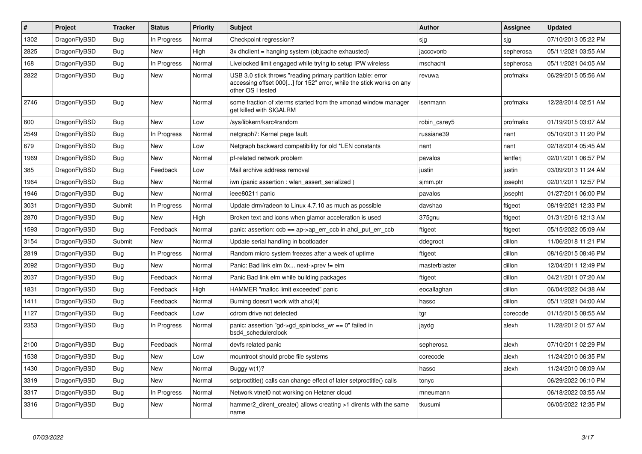| $\vert$ # | <b>Project</b> | <b>Tracker</b> | <b>Status</b> | <b>Priority</b> | <b>Subject</b>                                                                                                                                           | <b>Author</b> | Assignee  | <b>Updated</b>      |
|-----------|----------------|----------------|---------------|-----------------|----------------------------------------------------------------------------------------------------------------------------------------------------------|---------------|-----------|---------------------|
| 1302      | DragonFlyBSD   | <b>Bug</b>     | In Progress   | Normal          | Checkpoint regression?                                                                                                                                   | sjg           | sjg       | 07/10/2013 05:22 PM |
| 2825      | DragonFlyBSD   | <b>Bug</b>     | <b>New</b>    | High            | 3x dhclient = hanging system (objcache exhausted)                                                                                                        | jaccovonb     | sepherosa | 05/11/2021 03:55 AM |
| 168       | DragonFlyBSD   | <b>Bug</b>     | In Progress   | Normal          | Livelocked limit engaged while trying to setup IPW wireless                                                                                              | mschacht      | sepherosa | 05/11/2021 04:05 AM |
| 2822      | DragonFlyBSD   | <b>Bug</b>     | New           | Normal          | USB 3.0 stick throws "reading primary partition table: error<br>accessing offset 000[] for 152" error, while the stick works on any<br>other OS I tested | revuwa        | profmakx  | 06/29/2015 05:56 AM |
| 2746      | DragonFlyBSD   | Bug            | <b>New</b>    | Normal          | some fraction of xterms started from the xmonad window manager<br>get killed with SIGALRM                                                                | isenmann      | profmakx  | 12/28/2014 02:51 AM |
| 600       | DragonFlyBSD   | Bug            | <b>New</b>    | Low             | /sys/libkern/karc4random                                                                                                                                 | robin carey5  | profmakx  | 01/19/2015 03:07 AM |
| 2549      | DragonFlyBSD   | Bug            | In Progress   | Normal          | netgraph7: Kernel page fault.                                                                                                                            | russiane39    | nant      | 05/10/2013 11:20 PM |
| 679       | DragonFlyBSD   | <b>Bug</b>     | <b>New</b>    | Low             | Netgraph backward compatibility for old *LEN constants                                                                                                   | nant          | nant      | 02/18/2014 05:45 AM |
| 1969      | DragonFlyBSD   | Bug            | <b>New</b>    | Normal          | pf-related network problem                                                                                                                               | pavalos       | lentferj  | 02/01/2011 06:57 PM |
| 385       | DragonFlyBSD   | Bug            | Feedback      | Low             | Mail archive address removal                                                                                                                             | justin        | justin    | 03/09/2013 11:24 AM |
| 1964      | DragonFlyBSD   | Bug            | <b>New</b>    | Normal          | iwn (panic assertion : wlan assert serialized)                                                                                                           | sjmm.ptr      | josepht   | 02/01/2011 12:57 PM |
| 1946      | DragonFlyBSD   | Bug            | <b>New</b>    | Normal          | ieee80211 panic                                                                                                                                          | pavalos       | josepht   | 01/27/2011 06:00 PM |
| 3031      | DragonFlyBSD   | Submit         | In Progress   | Normal          | Update drm/radeon to Linux 4.7.10 as much as possible                                                                                                    | davshao       | ftigeot   | 08/19/2021 12:33 PM |
| 2870      | DragonFlyBSD   | Bug            | <b>New</b>    | High            | Broken text and icons when glamor acceleration is used                                                                                                   | 375gnu        | ftigeot   | 01/31/2016 12:13 AM |
| 1593      | DragonFlyBSD   | Bug            | Feedback      | Normal          | panic: assertion: $ccb == ap \rightarrow ap$ err $ccb$ in ahci put err $ccb$                                                                             | ftigeot       | ftigeot   | 05/15/2022 05:09 AM |
| 3154      | DragonFlyBSD   | Submit         | <b>New</b>    | Normal          | Update serial handling in bootloader                                                                                                                     | ddegroot      | dillon    | 11/06/2018 11:21 PM |
| 2819      | DragonFlyBSD   | <b>Bug</b>     | In Progress   | Normal          | Random micro system freezes after a week of uptime                                                                                                       | ftigeot       | dillon    | 08/16/2015 08:46 PM |
| 2092      | DragonFlyBSD   | Bug            | New           | Normal          | Panic: Bad link elm 0x next->prev != elm                                                                                                                 | masterblaster | dillon    | 12/04/2011 12:49 PM |
| 2037      | DragonFlyBSD   | Bug            | Feedback      | Normal          | Panic Bad link elm while building packages                                                                                                               | ftigeot       | dillon    | 04/21/2011 07:20 AM |
| 1831      | DragonFlyBSD   | <b>Bug</b>     | Feedback      | High            | HAMMER "malloc limit exceeded" panic                                                                                                                     | eocallaghan   | dillon    | 06/04/2022 04:38 AM |
| 1411      | DragonFlyBSD   | Bug            | Feedback      | Normal          | Burning doesn't work with ahci(4)                                                                                                                        | hasso         | dillon    | 05/11/2021 04:00 AM |
| 1127      | DragonFlyBSD   | <b>Bug</b>     | Feedback      | Low             | cdrom drive not detected                                                                                                                                 | tgr           | corecode  | 01/15/2015 08:55 AM |
| 2353      | DragonFlyBSD   | <b>Bug</b>     | In Progress   | Normal          | panic: assertion "gd->gd_spinlocks_wr == 0" failed in<br>bsd4 schedulerclock                                                                             | jaydg         | alexh     | 11/28/2012 01:57 AM |
| 2100      | DragonFlyBSD   | Bug            | Feedback      | Normal          | devfs related panic                                                                                                                                      | sepherosa     | alexh     | 07/10/2011 02:29 PM |
| 1538      | DragonFlyBSD   | Bug            | <b>New</b>    | Low             | mountroot should probe file systems                                                                                                                      | corecode      | alexh     | 11/24/2010 06:35 PM |
| 1430      | DragonFlyBSD   | <b>Bug</b>     | <b>New</b>    | Normal          | Buggy w(1)?                                                                                                                                              | hasso         | alexh     | 11/24/2010 08:09 AM |
| 3319      | DragonFlyBSD   | Bug            | New           | Normal          | setproctitle() calls can change effect of later setproctitle() calls                                                                                     | tonyc         |           | 06/29/2022 06:10 PM |
| 3317      | DragonFlyBSD   | Bug            | In Progress   | Normal          | Network vtnet0 not working on Hetzner cloud                                                                                                              | mneumann      |           | 06/18/2022 03:55 AM |
| 3316      | DragonFlyBSD   | Bug            | New           | Normal          | hammer2 dirent create() allows creating >1 dirents with the same<br>name                                                                                 | tkusumi       |           | 06/05/2022 12:35 PM |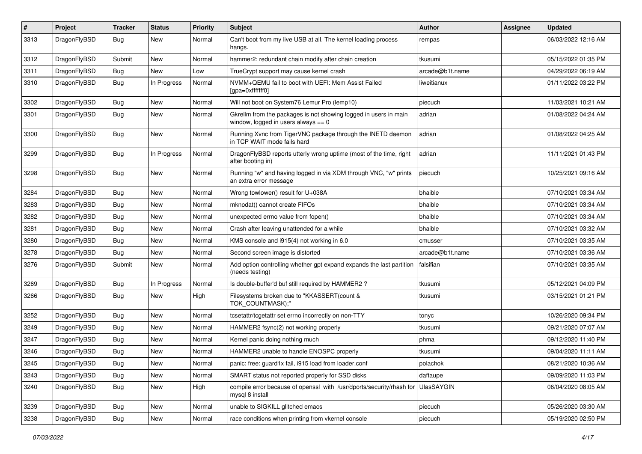| $\#$ | Project      | <b>Tracker</b> | <b>Status</b> | <b>Priority</b> | Subject                                                                                                   | Author          | Assignee | <b>Updated</b>      |
|------|--------------|----------------|---------------|-----------------|-----------------------------------------------------------------------------------------------------------|-----------------|----------|---------------------|
| 3313 | DragonFlyBSD | Bug            | <b>New</b>    | Normal          | Can't boot from my live USB at all. The kernel loading process<br>hangs.                                  | rempas          |          | 06/03/2022 12:16 AM |
| 3312 | DragonFlyBSD | Submit         | <b>New</b>    | Normal          | hammer2: redundant chain modify after chain creation                                                      | tkusumi         |          | 05/15/2022 01:35 PM |
| 3311 | DragonFlyBSD | Bug            | New           | Low             | TrueCrypt support may cause kernel crash                                                                  | arcade@b1t.name |          | 04/29/2022 06:19 AM |
| 3310 | DragonFlyBSD | <b>Bug</b>     | In Progress   | Normal          | NVMM+QEMU fail to boot with UEFI: Mem Assist Failed<br>[gpa=0xfffffff0]                                   | liweitianux     |          | 01/11/2022 03:22 PM |
| 3302 | DragonFlyBSD | <b>Bug</b>     | <b>New</b>    | Normal          | Will not boot on System76 Lemur Pro (lemp10)                                                              | piecuch         |          | 11/03/2021 10:21 AM |
| 3301 | DragonFlyBSD | Bug            | New           | Normal          | Gkrellm from the packages is not showing logged in users in main<br>window, logged in users always $== 0$ | adrian          |          | 01/08/2022 04:24 AM |
| 3300 | DragonFlyBSD | <b>Bug</b>     | New           | Normal          | Running Xvnc from TigerVNC package through the INETD daemon<br>in TCP WAIT mode fails hard                | adrian          |          | 01/08/2022 04:25 AM |
| 3299 | DragonFlyBSD | <b>Bug</b>     | In Progress   | Normal          | DragonFlyBSD reports utterly wrong uptime (most of the time, right<br>after booting in)                   | adrian          |          | 11/11/2021 01:43 PM |
| 3298 | DragonFlyBSD | Bug            | <b>New</b>    | Normal          | Running "w" and having logged in via XDM through VNC, "w" prints<br>an extra error message                | piecuch         |          | 10/25/2021 09:16 AM |
| 3284 | DragonFlyBSD | <b>Bug</b>     | <b>New</b>    | Normal          | Wrong towlower() result for U+038A                                                                        | bhaible         |          | 07/10/2021 03:34 AM |
| 3283 | DragonFlyBSD | <b>Bug</b>     | <b>New</b>    | Normal          | mknodat() cannot create FIFOs                                                                             | bhaible         |          | 07/10/2021 03:34 AM |
| 3282 | DragonFlyBSD | <b>Bug</b>     | <b>New</b>    | Normal          | unexpected errno value from fopen()                                                                       | bhaible         |          | 07/10/2021 03:34 AM |
| 3281 | DragonFlyBSD | Bug            | New           | Normal          | Crash after leaving unattended for a while                                                                | bhaible         |          | 07/10/2021 03:32 AM |
| 3280 | DragonFlyBSD | <b>Bug</b>     | New           | Normal          | KMS console and i915(4) not working in 6.0                                                                | cmusser         |          | 07/10/2021 03:35 AM |
| 3278 | DragonFlyBSD | <b>Bug</b>     | <b>New</b>    | Normal          | Second screen image is distorted                                                                          | arcade@b1t.name |          | 07/10/2021 03:36 AM |
| 3276 | DragonFlyBSD | Submit         | New           | Normal          | Add option controlling whether gpt expand expands the last partition<br>(needs testing)                   | falsifian       |          | 07/10/2021 03:35 AM |
| 3269 | DragonFlyBSD | <b>Bug</b>     | In Progress   | Normal          | Is double-buffer'd buf still required by HAMMER2 ?                                                        | tkusumi         |          | 05/12/2021 04:09 PM |
| 3266 | DragonFlyBSD | <b>Bug</b>     | <b>New</b>    | High            | Filesystems broken due to "KKASSERT(count &<br>TOK_COUNTMASK);"                                           | tkusumi         |          | 03/15/2021 01:21 PM |
| 3252 | DragonFlyBSD | Bug            | <b>New</b>    | Normal          | tcsetattr/tcgetattr set errno incorrectly on non-TTY                                                      | tonyc           |          | 10/26/2020 09:34 PM |
| 3249 | DragonFlyBSD | <b>Bug</b>     | New           | Normal          | HAMMER2 fsync(2) not working properly                                                                     | tkusumi         |          | 09/21/2020 07:07 AM |
| 3247 | DragonFlyBSD | Bug            | New           | Normal          | Kernel panic doing nothing much                                                                           | phma            |          | 09/12/2020 11:40 PM |
| 3246 | DragonFlyBSD | Bug            | New           | Normal          | HAMMER2 unable to handle ENOSPC properly                                                                  | tkusumi         |          | 09/04/2020 11:11 AM |
| 3245 | DragonFlyBSD | <b>Bug</b>     | New           | Normal          | panic: free: guard1x fail, i915 load from loader.conf                                                     | polachok        |          | 08/21/2020 10:36 AM |
| 3243 | DragonFlyBSD | Bug            | New           | Normal          | SMART status not reported properly for SSD disks                                                          | daftaupe        |          | 09/09/2020 11:03 PM |
| 3240 | DragonFlyBSD | <b>Bug</b>     | New           | High            | compile error because of openssl with /usr/dports/security/rhash for UlasSAYGIN<br>mysql 8 install        |                 |          | 06/04/2020 08:05 AM |
| 3239 | DragonFlyBSD | <b>Bug</b>     | New           | Normal          | unable to SIGKILL glitched emacs                                                                          | piecuch         |          | 05/26/2020 03:30 AM |
| 3238 | DragonFlyBSD | <b>Bug</b>     | New           | Normal          | race conditions when printing from vkernel console                                                        | piecuch         |          | 05/19/2020 02:50 PM |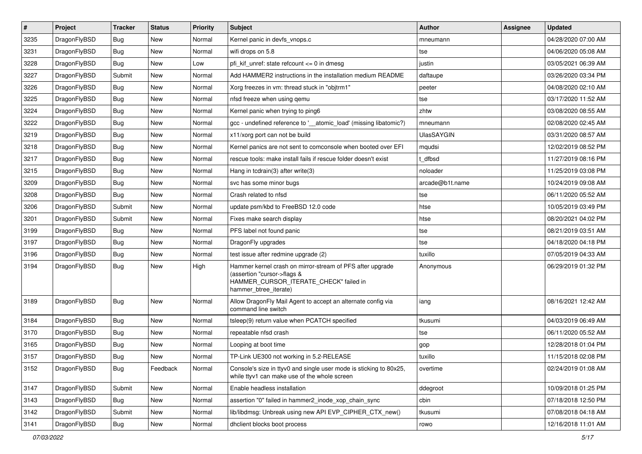| $\sharp$ | Project      | <b>Tracker</b> | <b>Status</b> | <b>Priority</b> | Subject                                                                                                                                                     | <b>Author</b>     | <b>Assignee</b> | <b>Updated</b>      |
|----------|--------------|----------------|---------------|-----------------|-------------------------------------------------------------------------------------------------------------------------------------------------------------|-------------------|-----------------|---------------------|
| 3235     | DragonFlyBSD | Bug            | New           | Normal          | Kernel panic in devfs vnops.c                                                                                                                               | mneumann          |                 | 04/28/2020 07:00 AM |
| 3231     | DragonFlyBSD | Bug            | <b>New</b>    | Normal          | wifi drops on 5.8                                                                                                                                           | tse               |                 | 04/06/2020 05:08 AM |
| 3228     | DragonFlyBSD | Bug            | New           | Low             | pfi kif unref: state refcount $\leq$ 0 in dmesg                                                                                                             | justin            |                 | 03/05/2021 06:39 AM |
| 3227     | DragonFlyBSD | Submit         | New           | Normal          | Add HAMMER2 instructions in the installation medium README                                                                                                  | daftaupe          |                 | 03/26/2020 03:34 PM |
| 3226     | DragonFlyBSD | Bug            | <b>New</b>    | Normal          | Xorg freezes in vm: thread stuck in "objtrm1"                                                                                                               | peeter            |                 | 04/08/2020 02:10 AM |
| 3225     | DragonFlyBSD | <b>Bug</b>     | New           | Normal          | nfsd freeze when using gemu                                                                                                                                 | tse               |                 | 03/17/2020 11:52 AM |
| 3224     | DragonFlyBSD | Bug            | New           | Normal          | Kernel panic when trying to ping6                                                                                                                           | zhtw              |                 | 03/08/2020 08:55 AM |
| 3222     | DragonFlyBSD | <b>Bug</b>     | <b>New</b>    | Normal          | gcc - undefined reference to ' atomic load' (missing libatomic?)                                                                                            | mneumann          |                 | 02/08/2020 02:45 AM |
| 3219     | DragonFlyBSD | <b>Bug</b>     | New           | Normal          | x11/xorg port can not be build                                                                                                                              | <b>UlasSAYGIN</b> |                 | 03/31/2020 08:57 AM |
| 3218     | DragonFlyBSD | Bug            | <b>New</b>    | Normal          | Kernel panics are not sent to comconsole when booted over EFI                                                                                               | mqudsi            |                 | 12/02/2019 08:52 PM |
| 3217     | DragonFlyBSD | <b>Bug</b>     | New           | Normal          | rescue tools: make install fails if rescue folder doesn't exist                                                                                             | t dfbsd           |                 | 11/27/2019 08:16 PM |
| 3215     | DragonFlyBSD | Bug            | <b>New</b>    | Normal          | Hang in tcdrain(3) after write(3)                                                                                                                           | noloader          |                 | 11/25/2019 03:08 PM |
| 3209     | DragonFlyBSD | <b>Bug</b>     | New           | Normal          | svc has some minor bugs                                                                                                                                     | arcade@b1t.name   |                 | 10/24/2019 09:08 AM |
| 3208     | DragonFlyBSD | <b>Bug</b>     | New           | Normal          | Crash related to nfsd                                                                                                                                       | tse               |                 | 06/11/2020 05:52 AM |
| 3206     | DragonFlyBSD | Submit         | <b>New</b>    | Normal          | update psm/kbd to FreeBSD 12.0 code                                                                                                                         | htse              |                 | 10/05/2019 03:49 PM |
| 3201     | DragonFlyBSD | Submit         | New           | Normal          | Fixes make search display                                                                                                                                   | htse              |                 | 08/20/2021 04:02 PM |
| 3199     | DragonFlyBSD | <b>Bug</b>     | New           | Normal          | PFS label not found panic                                                                                                                                   | tse               |                 | 08/21/2019 03:51 AM |
| 3197     | DragonFlyBSD | Bug            | <b>New</b>    | Normal          | DragonFly upgrades                                                                                                                                          | tse               |                 | 04/18/2020 04:18 PM |
| 3196     | DragonFlyBSD | <b>Bug</b>     | New           | Normal          | test issue after redmine upgrade (2)                                                                                                                        | tuxillo           |                 | 07/05/2019 04:33 AM |
| 3194     | DragonFlyBSD | Bug            | New           | High            | Hammer kernel crash on mirror-stream of PFS after upgrade<br>(assertion "cursor->flags &<br>HAMMER_CURSOR_ITERATE_CHECK" failed in<br>hammer_btree_iterate) | Anonymous         |                 | 06/29/2019 01:32 PM |
| 3189     | DragonFlyBSD | <b>Bug</b>     | <b>New</b>    | Normal          | Allow DragonFly Mail Agent to accept an alternate config via<br>command line switch                                                                         | iang              |                 | 08/16/2021 12:42 AM |
| 3184     | DragonFlyBSD | Bug            | New           | Normal          | tsleep(9) return value when PCATCH specified                                                                                                                | tkusumi           |                 | 04/03/2019 06:49 AM |
| 3170     | DragonFlyBSD | <b>Bug</b>     | New           | Normal          | repeatable nfsd crash                                                                                                                                       | tse               |                 | 06/11/2020 05:52 AM |
| 3165     | DragonFlyBSD | <b>Bug</b>     | <b>New</b>    | Normal          | Looping at boot time                                                                                                                                        | gop               |                 | 12/28/2018 01:04 PM |
| 3157     | DragonFlyBSD | Bug            | New           | Normal          | TP-Link UE300 not working in 5.2-RELEASE                                                                                                                    | tuxillo           |                 | 11/15/2018 02:08 PM |
| 3152     | DragonFlyBSD | Bug            | Feedback      | Normal          | Console's size in ttyv0 and single user mode is sticking to 80x25,<br>while ttyv1 can make use of the whole screen                                          | overtime          |                 | 02/24/2019 01:08 AM |
| 3147     | DragonFlyBSD | Submit         | New           | Normal          | Enable headless installation                                                                                                                                | ddegroot          |                 | 10/09/2018 01:25 PM |
| 3143     | DragonFlyBSD | Bug            | <b>New</b>    | Normal          | assertion "0" failed in hammer2_inode_xop_chain_sync                                                                                                        | cbin              |                 | 07/18/2018 12:50 PM |
| 3142     | DragonFlyBSD | Submit         | New           | Normal          | lib/libdmsg: Unbreak using new API EVP CIPHER CTX new()                                                                                                     | tkusumi           |                 | 07/08/2018 04:18 AM |
| 3141     | DragonFlyBSD | <b>Bug</b>     | New           | Normal          | dhclient blocks boot process                                                                                                                                | rowo              |                 | 12/16/2018 11:01 AM |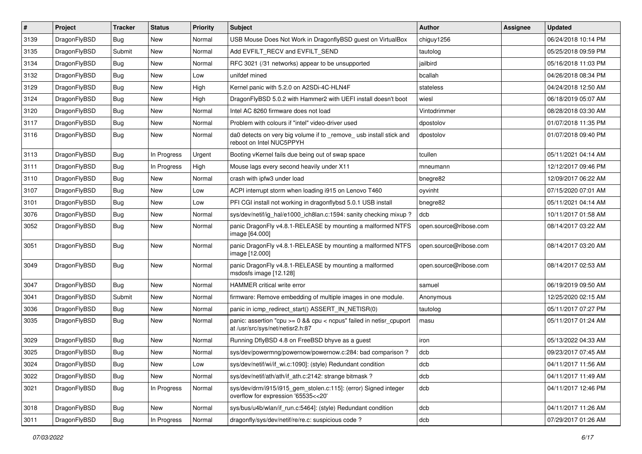| $\vert$ # | Project      | <b>Tracker</b> | <b>Status</b> | <b>Priority</b> | Subject                                                                                                 | Author                 | Assignee | <b>Updated</b>      |
|-----------|--------------|----------------|---------------|-----------------|---------------------------------------------------------------------------------------------------------|------------------------|----------|---------------------|
| 3139      | DragonFlyBSD | <b>Bug</b>     | New           | Normal          | USB Mouse Does Not Work in DragonflyBSD guest on VirtualBox                                             | chiguy1256             |          | 06/24/2018 10:14 PM |
| 3135      | DragonFlyBSD | Submit         | New           | Normal          | Add EVFILT_RECV and EVFILT_SEND                                                                         | tautolog               |          | 05/25/2018 09:59 PM |
| 3134      | DragonFlyBSD | <b>Bug</b>     | New           | Normal          | RFC 3021 (/31 networks) appear to be unsupported                                                        | jailbird               |          | 05/16/2018 11:03 PM |
| 3132      | DragonFlyBSD | Bug            | New           | Low             | unifdef mined                                                                                           | bcallah                |          | 04/26/2018 08:34 PM |
| 3129      | DragonFlyBSD | <b>Bug</b>     | <b>New</b>    | High            | Kernel panic with 5.2.0 on A2SDi-4C-HLN4F                                                               | stateless              |          | 04/24/2018 12:50 AM |
| 3124      | DragonFlyBSD | <b>Bug</b>     | New           | High            | DragonFlyBSD 5.0.2 with Hammer2 with UEFI install doesn't boot                                          | wiesl                  |          | 06/18/2019 05:07 AM |
| 3120      | DragonFlyBSD | Bug            | New           | Normal          | Intel AC 8260 firmware does not load                                                                    | Vintodrimmer           |          | 08/28/2018 03:30 AM |
| 3117      | DragonFlyBSD | <b>Bug</b>     | New           | Normal          | Problem with colours if "intel" video-driver used                                                       | dpostolov              |          | 01/07/2018 11:35 PM |
| 3116      | DragonFlyBSD | Bug            | New           | Normal          | da0 detects on very big volume if to _remove_ usb install stick and<br>reboot on Intel NUC5PPYH         | dpostolov              |          | 01/07/2018 09:40 PM |
| 3113      | DragonFlyBSD | <b>Bug</b>     | In Progress   | Urgent          | Booting vKernel fails due being out of swap space                                                       | tcullen                |          | 05/11/2021 04:14 AM |
| 3111      | DragonFlyBSD | Bug            | In Progress   | High            | Mouse lags every second heavily under X11                                                               | mneumann               |          | 12/12/2017 09:46 PM |
| 3110      | DragonFlyBSD | <b>Bug</b>     | New           | Normal          | crash with ipfw3 under load                                                                             | bnegre82               |          | 12/09/2017 06:22 AM |
| 3107      | DragonFlyBSD | Bug            | New           | Low             | ACPI interrupt storm when loading i915 on Lenovo T460                                                   | oyvinht                |          | 07/15/2020 07:01 AM |
| 3101      | DragonFlyBSD | <b>Bug</b>     | <b>New</b>    | Low             | PFI CGI install not working in dragonflybsd 5.0.1 USB install                                           | bnegre82               |          | 05/11/2021 04:14 AM |
| 3076      | DragonFlyBSD | <b>Bug</b>     | <b>New</b>    | Normal          | sys/dev/netif/ig_hal/e1000_ich8lan.c:1594: sanity checking mixup?                                       | dcb                    |          | 10/11/2017 01:58 AM |
| 3052      | DragonFlyBSD | Bug            | New           | Normal          | panic DragonFly v4.8.1-RELEASE by mounting a malformed NTFS<br>image [64.000]                           | open.source@ribose.com |          | 08/14/2017 03:22 AM |
| 3051      | DragonFlyBSD | <b>Bug</b>     | <b>New</b>    | Normal          | panic DragonFly v4.8.1-RELEASE by mounting a malformed NTFS<br>image [12.000]                           | open.source@ribose.com |          | 08/14/2017 03:20 AM |
| 3049      | DragonFlyBSD | Bug            | New           | Normal          | panic DragonFly v4.8.1-RELEASE by mounting a malformed<br>msdosfs image [12.128]                        | open.source@ribose.com |          | 08/14/2017 02:53 AM |
| 3047      | DragonFlyBSD | <b>Bug</b>     | <b>New</b>    | Normal          | HAMMER critical write error                                                                             | samuel                 |          | 06/19/2019 09:50 AM |
| 3041      | DragonFlyBSD | Submit         | New           | Normal          | firmware: Remove embedding of multiple images in one module.                                            | Anonymous              |          | 12/25/2020 02:15 AM |
| 3036      | DragonFlyBSD | Bug            | New           | Normal          | panic in icmp_redirect_start() ASSERT_IN_NETISR(0)                                                      | tautolog               |          | 05/11/2017 07:27 PM |
| 3035      | DragonFlyBSD | Bug            | New           | Normal          | panic: assertion "cpu >= 0 && cpu < ncpus" failed in netisr_cpuport<br>at /usr/src/sys/net/netisr2.h:87 | masu                   |          | 05/11/2017 01:24 AM |
| 3029      | DragonFlyBSD | Bug            | <b>New</b>    | Normal          | Running DflyBSD 4.8 on FreeBSD bhyve as a guest                                                         | iron                   |          | 05/13/2022 04:33 AM |
| 3025      | DragonFlyBSD | <b>Bug</b>     | New           | Normal          | sys/dev/powermng/powernow/powernow.c:284: bad comparison?                                               | dcb                    |          | 09/23/2017 07:45 AM |
| 3024      | DragonFlyBSD | Bug            | New           | Low             | sys/dev/netif/wi/if_wi.c:1090]: (style) Redundant condition                                             | dcb                    |          | 04/11/2017 11:56 AM |
| 3022      | DragonFlyBSD | <b>Bug</b>     | New           | Normal          | sys/dev/netif/ath/ath/if ath.c:2142: strange bitmask?                                                   | dcb                    |          | 04/11/2017 11:49 AM |
| 3021      | DragonFlyBSD | <b>Bug</b>     | In Progress   | Normal          | sys/dev/drm/i915/i915_gem_stolen.c:115]: (error) Signed integer<br>overflow for expression '65535<<20'  | dcb                    |          | 04/11/2017 12:46 PM |
| 3018      | DragonFlyBSD | <b>Bug</b>     | New           | Normal          | sys/bus/u4b/wlan/if_run.c:5464]: (style) Redundant condition                                            | dcb                    |          | 04/11/2017 11:26 AM |
| 3011      | DragonFlyBSD | Bug            | In Progress   | Normal          | dragonfly/sys/dev/netif/re/re.c: suspicious code ?                                                      | dcb                    |          | 07/29/2017 01:26 AM |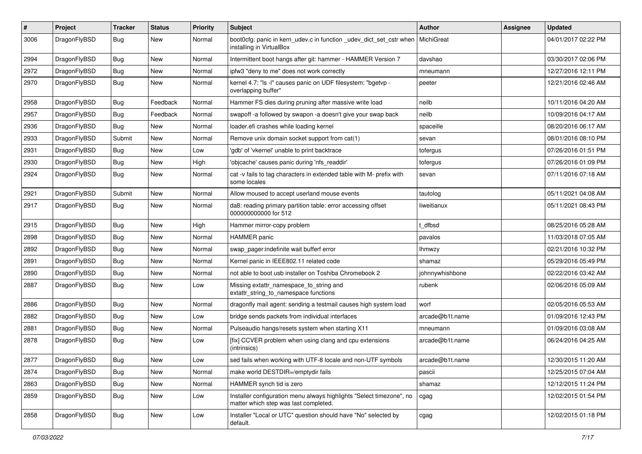| $\#$ | Project      | <b>Tracker</b> | <b>Status</b> | <b>Priority</b> | Subject                                                                                                       | <b>Author</b>   | <b>Assignee</b> | <b>Updated</b>      |
|------|--------------|----------------|---------------|-----------------|---------------------------------------------------------------------------------------------------------------|-----------------|-----------------|---------------------|
| 3006 | DragonFlyBSD | <b>Bug</b>     | New           | Normal          | boot0cfg: panic in kern_udev.c in function _udev_dict_set_cstr when<br>installing in VirtualBox               | MichiGreat      |                 | 04/01/2017 02:22 PM |
| 2994 | DragonFlyBSD | <b>Bug</b>     | New           | Normal          | Intermittent boot hangs after git: hammer - HAMMER Version 7                                                  | davshao         |                 | 03/30/2017 02:06 PM |
| 2972 | DragonFlyBSD | Bug            | New           | Normal          | ipfw3 "deny to me" does not work correctly                                                                    | mneumann        |                 | 12/27/2016 12:11 PM |
| 2970 | DragonFlyBSD | Bug            | New           | Normal          | kernel 4.7: "Is -l" causes panic on UDF filesystem: "bgetvp -<br>overlapping buffer"                          | peeter          |                 | 12/21/2016 02:46 AM |
| 2958 | DragonFlyBSD | Bug            | Feedback      | Normal          | Hammer FS dies during pruning after massive write load                                                        | neilb           |                 | 10/11/2016 04:20 AM |
| 2957 | DragonFlyBSD | Bug            | Feedback      | Normal          | swapoff -a followed by swapon -a doesn't give your swap back                                                  | neilb           |                 | 10/09/2016 04:17 AM |
| 2936 | DragonFlyBSD | Bug            | <b>New</b>    | Normal          | loader.efi crashes while loading kernel                                                                       | spaceille       |                 | 08/20/2016 06:17 AM |
| 2933 | DragonFlyBSD | Submit         | New           | Normal          | Remove unix domain socket support from cat(1)                                                                 | sevan           |                 | 08/01/2016 08:10 PM |
| 2931 | DragonFlyBSD | Bug            | <b>New</b>    | Low             | 'gdb' of 'vkernel' unable to print backtrace                                                                  | tofergus        |                 | 07/26/2016 01:51 PM |
| 2930 | DragonFlyBSD | Bug            | New           | High            | 'objcache' causes panic during 'nfs_readdir'                                                                  | tofergus        |                 | 07/26/2016 01:09 PM |
| 2924 | DragonFlyBSD | Bug            | New           | Normal          | cat -v fails to tag characters in extended table with M- prefix with<br>some locales                          | sevan           |                 | 07/11/2016 07:18 AM |
| 2921 | DragonFlyBSD | Submit         | <b>New</b>    | Normal          | Allow moused to accept userland mouse events                                                                  | tautolog        |                 | 05/11/2021 04:08 AM |
| 2917 | DragonFlyBSD | Bug            | <b>New</b>    | Normal          | da8: reading primary partition table: error accessing offset<br>000000000000 for 512                          | liweitianux     |                 | 05/11/2021 08:43 PM |
| 2915 | DragonFlyBSD | Bug            | <b>New</b>    | High            | Hammer mirror-copy problem                                                                                    | t dfbsd         |                 | 08/25/2016 05:28 AM |
| 2898 | DragonFlyBSD | Bug            | New           | Normal          | <b>HAMMER</b> panic                                                                                           | pavalos         |                 | 11/03/2018 07:05 AM |
| 2892 | DragonFlyBSD | Bug            | New           | Normal          | swap pager:indefinite wait bufferf error                                                                      | lhmwzy          |                 | 02/21/2016 10:32 PM |
| 2891 | DragonFlyBSD | Bug            | New           | Normal          | Kernel panic in IEEE802.11 related code                                                                       | shamaz          |                 | 05/29/2016 05:49 PM |
| 2890 | DragonFlyBSD | Bug            | <b>New</b>    | Normal          | not able to boot usb installer on Toshiba Chromebook 2                                                        | johnnywhishbone |                 | 02/22/2016 03:42 AM |
| 2887 | DragonFlyBSD | Bug            | New           | Low             | Missing extattr_namespace_to_string and<br>extattr_string_to_namespace functions                              | rubenk          |                 | 02/06/2016 05:09 AM |
| 2886 | DragonFlyBSD | Bug            | New           | Normal          | dragonfly mail agent: sending a testmail causes high system load                                              | worf            |                 | 02/05/2016 05:53 AM |
| 2882 | DragonFlyBSD | Bug            | <b>New</b>    | Low             | bridge sends packets from individual interfaces                                                               | arcade@b1t.name |                 | 01/09/2016 12:43 PM |
| 2881 | DragonFlyBSD | Bug            | New           | Normal          | Pulseaudio hangs/resets system when starting X11                                                              | mneumann        |                 | 01/09/2016 03:08 AM |
| 2878 | DragonFlyBSD | Bug            | <b>New</b>    | Low             | [fix] CCVER problem when using clang and cpu extensions<br>(intrinsics)                                       | arcade@b1t.name |                 | 06/24/2016 04:25 AM |
| 2877 | DragonFlyBSD | Bug            | <b>New</b>    | Low             | sed fails when working with UTF-8 locale and non-UTF symbols                                                  | arcade@b1t.name |                 | 12/30/2015 11:20 AM |
| 2874 | DragonFlyBSD | <b>Bug</b>     | New           | Normal          | make world DESTDIR=/emptydir fails                                                                            | pascii          |                 | 12/25/2015 07:04 AM |
| 2863 | DragonFlyBSD | Bug            | New           | Normal          | HAMMER synch tid is zero                                                                                      | shamaz          |                 | 12/12/2015 11:24 PM |
| 2859 | DragonFlyBSD | <b>Bug</b>     | New           | Low             | Installer configuration menu always highlights "Select timezone", no<br>matter which step was last completed. | cgag            |                 | 12/02/2015 01:54 PM |
| 2858 | DragonFlyBSD | <b>Bug</b>     | New           | Low             | Installer "Local or UTC" question should have "No" selected by<br>default.                                    | cgag            |                 | 12/02/2015 01:18 PM |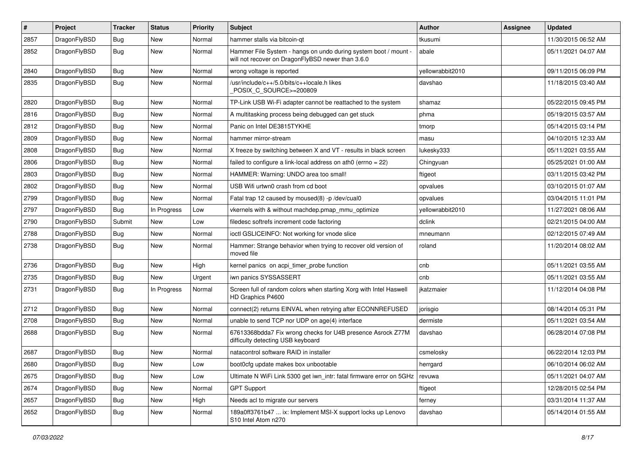| $\pmb{\#}$ | Project      | <b>Tracker</b> | <b>Status</b> | <b>Priority</b> | Subject                                                                                                              | <b>Author</b>    | <b>Assignee</b> | <b>Updated</b>      |
|------------|--------------|----------------|---------------|-----------------|----------------------------------------------------------------------------------------------------------------------|------------------|-----------------|---------------------|
| 2857       | DragonFlyBSD | Bug            | New           | Normal          | hammer stalls via bitcoin-qt                                                                                         | tkusumi          |                 | 11/30/2015 06:52 AM |
| 2852       | DragonFlyBSD | Bug            | New           | Normal          | Hammer File System - hangs on undo during system boot / mount -<br>will not recover on DragonFlyBSD newer than 3.6.0 | abale            |                 | 05/11/2021 04:07 AM |
| 2840       | DragonFlyBSD | <b>Bug</b>     | <b>New</b>    | Normal          | wrong voltage is reported                                                                                            | vellowrabbit2010 |                 | 09/11/2015 06:09 PM |
| 2835       | DragonFlyBSD | Bug            | <b>New</b>    | Normal          | /usr/include/c++/5.0/bits/c++locale.h likes<br>POSIX_C_SOURCE>=200809                                                | davshao          |                 | 11/18/2015 03:40 AM |
| 2820       | DragonFlyBSD | Bug            | New           | Normal          | TP-Link USB Wi-Fi adapter cannot be reattached to the system                                                         | shamaz           |                 | 05/22/2015 09:45 PM |
| 2816       | DragonFlyBSD | <b>Bug</b>     | <b>New</b>    | Normal          | A multitasking process being debugged can get stuck                                                                  | phma             |                 | 05/19/2015 03:57 AM |
| 2812       | DragonFlyBSD | Bug            | New           | Normal          | Panic on Intel DE3815TYKHE                                                                                           | tmorp            |                 | 05/14/2015 03:14 PM |
| 2809       | DragonFlyBSD | Bug            | New           | Normal          | hammer mirror-stream                                                                                                 | masu             |                 | 04/10/2015 12:33 AM |
| 2808       | DragonFlyBSD | Bug            | New           | Normal          | X freeze by switching between X and VT - results in black screen                                                     | lukesky333       |                 | 05/11/2021 03:55 AM |
| 2806       | DragonFlyBSD | Bug            | <b>New</b>    | Normal          | failed to configure a link-local address on ath $0$ (errno = 22)                                                     | Chingyuan        |                 | 05/25/2021 01:00 AM |
| 2803       | DragonFlyBSD | <b>Bug</b>     | <b>New</b>    | Normal          | HAMMER: Warning: UNDO area too small!                                                                                | ftigeot          |                 | 03/11/2015 03:42 PM |
| 2802       | DragonFlyBSD | Bug            | <b>New</b>    | Normal          | USB Wifi urtwn0 crash from cd boot                                                                                   | opvalues         |                 | 03/10/2015 01:07 AM |
| 2799       | DragonFlyBSD | Bug            | <b>New</b>    | Normal          | Fatal trap 12 caused by moused(8) -p /dev/cual0                                                                      | opvalues         |                 | 03/04/2015 11:01 PM |
| 2797       | DragonFlyBSD | Bug            | In Progress   | Low             | vkernels with & without machdep.pmap mmu optimize                                                                    | yellowrabbit2010 |                 | 11/27/2021 08:06 AM |
| 2790       | DragonFlyBSD | Submit         | New           | Low             | filedesc softrefs increment code factoring                                                                           | dclink           |                 | 02/21/2015 04:00 AM |
| 2788       | DragonFlyBSD | Bug            | <b>New</b>    | Normal          | ioctl GSLICEINFO: Not working for vnode slice                                                                        | mneumann         |                 | 02/12/2015 07:49 AM |
| 2738       | DragonFlyBSD | Bug            | New           | Normal          | Hammer: Strange behavior when trying to recover old version of<br>moved file                                         | roland           |                 | 11/20/2014 08:02 AM |
| 2736       | DragonFlyBSD | <b>Bug</b>     | <b>New</b>    | High            | kernel panics on acpi_timer_probe function                                                                           | cnb              |                 | 05/11/2021 03:55 AM |
| 2735       | DragonFlyBSD | Bug            | <b>New</b>    | Urgent          | iwn panics SYSSASSERT                                                                                                | cnb              |                 | 05/11/2021 03:55 AM |
| 2731       | DragonFlyBSD | Bug            | In Progress   | Normal          | Screen full of random colors when starting Xorg with Intel Haswell<br>HD Graphics P4600                              | ikatzmaier       |                 | 11/12/2014 04:08 PM |
| 2712       | DragonFlyBSD | Bug            | <b>New</b>    | Normal          | connect(2) returns EINVAL when retrying after ECONNREFUSED                                                           | jorisgio         |                 | 08/14/2014 05:31 PM |
| 2708       | DragonFlyBSD | <b>Bug</b>     | <b>New</b>    | Normal          | unable to send TCP nor UDP on age(4) interface                                                                       | dermiste         |                 | 05/11/2021 03:54 AM |
| 2688       | DragonFlyBSD | <b>Bug</b>     | New           | Normal          | 67613368bdda7 Fix wrong checks for U4B presence Asrock Z77M<br>difficulty detecting USB keyboard                     | davshao          |                 | 06/28/2014 07:08 PM |
| 2687       | DragonFlyBSD | Bug            | <b>New</b>    | Normal          | natacontrol software RAID in installer                                                                               | csmelosky        |                 | 06/22/2014 12:03 PM |
| 2680       | DragonFlyBSD | <b>Bug</b>     | New           | Low             | boot0cfg update makes box unbootable                                                                                 | herrgard         |                 | 06/10/2014 06:02 AM |
| 2675       | DragonFlyBSD | Bug            | New           | Low             | Ultimate N WiFi Link 5300 get iwn intr: fatal firmware error on 5GHz                                                 | revuwa           |                 | 05/11/2021 04:07 AM |
| 2674       | DragonFlyBSD | <b>Bug</b>     | New           | Normal          | <b>GPT Support</b>                                                                                                   | ftigeot          |                 | 12/28/2015 02:54 PM |
| 2657       | DragonFlyBSD | <b>Bug</b>     | New           | High            | Needs acl to migrate our servers                                                                                     | ferney           |                 | 03/31/2014 11:37 AM |
| 2652       | DragonFlyBSD | <b>Bug</b>     | New           | Normal          | 189a0ff3761b47  ix: Implement MSI-X support locks up Lenovo<br>S10 Intel Atom n270                                   | davshao          |                 | 05/14/2014 01:55 AM |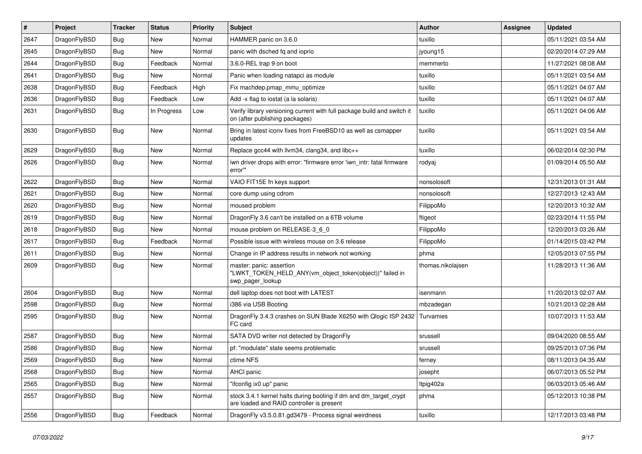| $\vert$ # | Project      | <b>Tracker</b> | <b>Status</b> | <b>Priority</b> | <b>Subject</b>                                                                                                 | <b>Author</b>     | Assignee | <b>Updated</b>      |
|-----------|--------------|----------------|---------------|-----------------|----------------------------------------------------------------------------------------------------------------|-------------------|----------|---------------------|
| 2647      | DragonFlyBSD | Bug            | <b>New</b>    | Normal          | HAMMER panic on 3.6.0                                                                                          | tuxillo           |          | 05/11/2021 03:54 AM |
| 2645      | DragonFlyBSD | <b>Bug</b>     | <b>New</b>    | Normal          | panic with dsched fq and ioprio                                                                                | jyoung15          |          | 02/20/2014 07:29 AM |
| 2644      | DragonFlyBSD | <b>Bug</b>     | Feedback      | Normal          | 3.6.0-REL trap 9 on boot                                                                                       | memmerto          |          | 11/27/2021 08:08 AM |
| 2641      | DragonFlyBSD | Bug            | <b>New</b>    | Normal          | Panic when loading natapci as module                                                                           | tuxillo           |          | 05/11/2021 03:54 AM |
| 2638      | DragonFlyBSD | <b>Bug</b>     | Feedback      | High            | Fix machdep.pmap_mmu_optimize                                                                                  | tuxillo           |          | 05/11/2021 04:07 AM |
| 2636      | DragonFlyBSD | <b>Bug</b>     | Feedback      | Low             | Add -x flag to iostat (a la solaris)                                                                           | tuxillo           |          | 05/11/2021 04:07 AM |
| 2631      | DragonFlyBSD | Bug            | In Progress   | Low             | Verify library versioning current with full package build and switch it<br>on (after publishing packages)      | tuxillo           |          | 05/11/2021 04:06 AM |
| 2630      | DragonFlyBSD | Bug            | <b>New</b>    | Normal          | Bring in latest iconv fixes from FreeBSD10 as well as csmapper<br>updates                                      | tuxillo           |          | 05/11/2021 03:54 AM |
| 2629      | DragonFlyBSD | <b>Bug</b>     | <b>New</b>    | Normal          | Replace gcc44 with llvm34, clang34, and libc++                                                                 | tuxillo           |          | 06/02/2014 02:30 PM |
| 2626      | DragonFlyBSD | Bug            | <b>New</b>    | Normal          | iwn driver drops with error: "firmware error 'iwn_intr: fatal firmware<br>error"                               | rodyaj            |          | 01/09/2014 05:50 AM |
| 2622      | DragonFlyBSD | <b>Bug</b>     | <b>New</b>    | Normal          | VAIO FIT15E fn keys support                                                                                    | nonsolosoft       |          | 12/31/2013 01:31 AM |
| 2621      | DragonFlyBSD | Bug            | <b>New</b>    | Normal          | core dump using cdrom                                                                                          | nonsolosoft       |          | 12/27/2013 12:43 AM |
| 2620      | DragonFlyBSD | Bug            | <b>New</b>    | Normal          | moused problem                                                                                                 | FilippoMo         |          | 12/20/2013 10:32 AM |
| 2619      | DragonFlyBSD | <b>Bug</b>     | <b>New</b>    | Normal          | DragonFly 3.6 can't be installed on a 6TB volume                                                               | ftigeot           |          | 02/23/2014 11:55 PM |
| 2618      | DragonFlyBSD | <b>Bug</b>     | <b>New</b>    | Normal          | mouse problem on RELEASE-3_6_0                                                                                 | FilippoMo         |          | 12/20/2013 03:26 AM |
| 2617      | DragonFlyBSD | <b>Bug</b>     | Feedback      | Normal          | Possible issue with wireless mouse on 3.6 release                                                              | FilippoMo         |          | 01/14/2015 03:42 PM |
| 2611      | DragonFlyBSD | Bug            | <b>New</b>    | Normal          | Change in IP address results in network not working                                                            | phma              |          | 12/05/2013 07:55 PM |
| 2609      | DragonFlyBSD | Bug            | New           | Normal          | master: panic: assertion<br>"LWKT_TOKEN_HELD_ANY(vm_object_token(object))" failed in<br>swp_pager_lookup       | thomas.nikolajsen |          | 11/28/2013 11:36 AM |
| 2604      | DragonFlyBSD | <b>Bug</b>     | <b>New</b>    | Normal          | dell laptop does not boot with LATEST                                                                          | isenmann          |          | 11/20/2013 02:07 AM |
| 2598      | DragonFlyBSD | Bug            | <b>New</b>    | Normal          | i386 via USB Booting                                                                                           | mbzadegan         |          | 10/21/2013 02:28 AM |
| 2595      | DragonFlyBSD | Bug            | <b>New</b>    | Normal          | DragonFly 3.4.3 crashes on SUN Blade X6250 with Qlogic ISP 2432<br>FC card                                     | Turvamies         |          | 10/07/2013 11:53 AM |
| 2587      | DragonFlyBSD | Bug            | <b>New</b>    | Normal          | SATA DVD writer not detected by DragonFly                                                                      | srussell          |          | 09/04/2020 08:55 AM |
| 2586      | DragonFlyBSD | <b>Bug</b>     | <b>New</b>    | Normal          | pf: "modulate" state seems problematic                                                                         | srussell          |          | 09/25/2013 07:36 PM |
| 2569      | DragonFlyBSD | Bug            | New           | Normal          | ctime NFS                                                                                                      | ferney            |          | 08/11/2013 04:35 AM |
| 2568      | DragonFlyBSD | Bug            | New           | Normal          | AHCI panic                                                                                                     | josepht           |          | 06/07/2013 05:52 PM |
| 2565      | DragonFlyBSD | <b>Bug</b>     | New           | Normal          | "ifconfig ix0 up" panic                                                                                        | Itpig402a         |          | 06/03/2013 05:46 AM |
| 2557      | DragonFlyBSD | <b>Bug</b>     | New           | Normal          | stock 3.4.1 kernel halts during booting if dm and dm_target_crypt<br>are loaded and RAID controller is present | phma              |          | 05/12/2013 10:38 PM |
| 2556      | DragonFlyBSD | <b>Bug</b>     | Feedback      | Normal          | DragonFly v3.5.0.81.gd3479 - Process signal weirdness                                                          | tuxillo           |          | 12/17/2013 03:48 PM |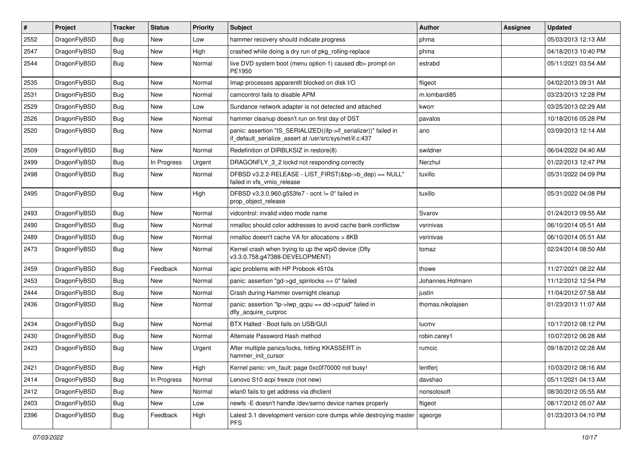| $\sharp$ | Project      | <b>Tracker</b> | <b>Status</b> | <b>Priority</b> | Subject                                                                                                                      | <b>Author</b>     | Assignee | <b>Updated</b>      |
|----------|--------------|----------------|---------------|-----------------|------------------------------------------------------------------------------------------------------------------------------|-------------------|----------|---------------------|
| 2552     | DragonFlyBSD | <b>Bug</b>     | <b>New</b>    | Low             | hammer recovery should indicate progress                                                                                     | phma              |          | 05/03/2013 12:13 AM |
| 2547     | DragonFlyBSD | <b>Bug</b>     | New           | High            | crashed while doing a dry run of pkg_rolling-replace                                                                         | phma              |          | 04/18/2013 10:40 PM |
| 2544     | DragonFlyBSD | <b>Bug</b>     | New           | Normal          | live DVD system boot (menu option 1) caused db> prompt on<br>PE1950                                                          | estrabd           |          | 05/11/2021 03:54 AM |
| 2535     | DragonFlyBSD | <b>Bug</b>     | <b>New</b>    | Normal          | Imap processes apparentlt blocked on disk I/O                                                                                | ftigeot           |          | 04/02/2013 09:31 AM |
| 2531     | DragonFlyBSD | <b>Bug</b>     | <b>New</b>    | Normal          | camcontrol fails to disable APM                                                                                              | m.lombardi85      |          | 03/23/2013 12:28 PM |
| 2529     | DragonFlyBSD | <b>Bug</b>     | <b>New</b>    | Low             | Sundance network adapter is not detected and attached                                                                        | kworr             |          | 03/25/2013 02:29 AM |
| 2526     | DragonFlyBSD | <b>Bug</b>     | New           | Normal          | hammer cleanup doesn't run on first day of DST                                                                               | pavalos           |          | 10/18/2016 05:28 PM |
| 2520     | DragonFlyBSD | <b>Bug</b>     | New           | Normal          | panic: assertion "IS_SERIALIZED((ifp->if_serializer))" failed in<br>if_default_serialize_assert at /usr/src/sys/net/if.c:437 | ano               |          | 03/09/2013 12:14 AM |
| 2509     | DragonFlyBSD | <b>Bug</b>     | <b>New</b>    | Normal          | Redefinition of DIRBLKSIZ in restore(8)                                                                                      | swildner          |          | 06/04/2022 04:40 AM |
| 2499     | DragonFlyBSD | <b>Bug</b>     | In Progress   | Urgent          | DRAGONFLY_3_2 lockd not responding correctly                                                                                 | Nerzhul           |          | 01/22/2013 12:47 PM |
| 2498     | DragonFlyBSD | <b>Bug</b>     | New           | Normal          | DFBSD v3.2.2-RELEASE - LIST_FIRST(&bp->b_dep) == NULL"<br>failed in vfs vmio release                                         | tuxillo           |          | 05/31/2022 04:09 PM |
| 2495     | DragonFlyBSD | <b>Bug</b>     | <b>New</b>    | High            | DFBSD v3.3.0.960.g553fe7 - ocnt != 0" failed in<br>prop object release                                                       | tuxillo           |          | 05/31/2022 04:08 PM |
| 2493     | DragonFlyBSD | <b>Bug</b>     | <b>New</b>    | Normal          | vidcontrol: invalid video mode name                                                                                          | Svarov            |          | 01/24/2013 09:55 AM |
| 2490     | DragonFlyBSD | <b>Bug</b>     | <b>New</b>    | Normal          | nmalloc should color addresses to avoid cache bank conflictsw                                                                | vsrinivas         |          | 06/10/2014 05:51 AM |
| 2489     | DragonFlyBSD | <b>Bug</b>     | New           | Normal          | nmalloc doesn't cache VA for allocations > 8KB                                                                               | vsrinivas         |          | 06/10/2014 05:51 AM |
| 2473     | DragonFlyBSD | <b>Bug</b>     | <b>New</b>    | Normal          | Kernel crash when trying to up the wpi0 device (Dfly<br>v3.3.0.758.g47388-DEVELOPMENT)                                       | tomaz             |          | 02/24/2014 08:50 AM |
| 2459     | DragonFlyBSD | <b>Bug</b>     | Feedback      | Normal          | apic problems with HP Probook 4510s                                                                                          | thowe             |          | 11/27/2021 08:22 AM |
| 2453     | DragonFlyBSD | <b>Bug</b>     | <b>New</b>    | Normal          | panic: assertion "gd->gd_spinlocks == 0" failed                                                                              | Johannes.Hofmann  |          | 11/12/2012 12:54 PM |
| 2444     | DragonFlyBSD | <b>Bug</b>     | New           | Normal          | Crash during Hammer overnight cleanup                                                                                        | justin            |          | 11/04/2012 07:58 AM |
| 2436     | DragonFlyBSD | <b>Bug</b>     | New           | Normal          | panic: assertion "lp->lwp_qcpu == dd->cpuid" failed in<br>dfly_acquire_curproc                                               | thomas.nikolajsen |          | 01/23/2013 11:07 AM |
| 2434     | DragonFlyBSD | <b>Bug</b>     | <b>New</b>    | Normal          | BTX Halted - Boot fails on USB/GUI                                                                                           | lucmy             |          | 10/17/2012 08:12 PM |
| 2430     | DragonFlyBSD | <b>Bug</b>     | New           | Normal          | Alternate Password Hash method                                                                                               | robin.carey1      |          | 10/07/2012 06:28 AM |
| 2423     | DragonFlyBSD | Bug            | New           | Urgent          | After multiple panics/locks, hitting KKASSERT in<br>hammer init cursor                                                       | rumcic            |          | 09/18/2012 02:28 AM |
| 2421     | DragonFlyBSD | <b>Bug</b>     | New           | High            | Kernel panic: vm_fault: page 0xc0f70000 not busy!                                                                            | lentferj          |          | 10/03/2012 08:16 AM |
| 2414     | DragonFlyBSD | <b>Bug</b>     | In Progress   | Normal          | Lenovo S10 acpi freeze (not new)                                                                                             | davshao           |          | 05/11/2021 04:13 AM |
| 2412     | DragonFlyBSD | <b>Bug</b>     | New           | Normal          | wlan0 fails to get address via dhclient                                                                                      | nonsolosoft       |          | 08/30/2012 05:55 AM |
| 2403     | DragonFlyBSD | <b>Bug</b>     | <b>New</b>    | Low             | newfs -E doesn't handle /dev/serno device names properly                                                                     | ftigeot           |          | 08/17/2012 05:07 AM |
| 2396     | DragonFlyBSD | <b>Bug</b>     | Feedback      | High            | Latest 3.1 development version core dumps while destroying master<br><b>PFS</b>                                              | sgeorge           |          | 01/23/2013 04:10 PM |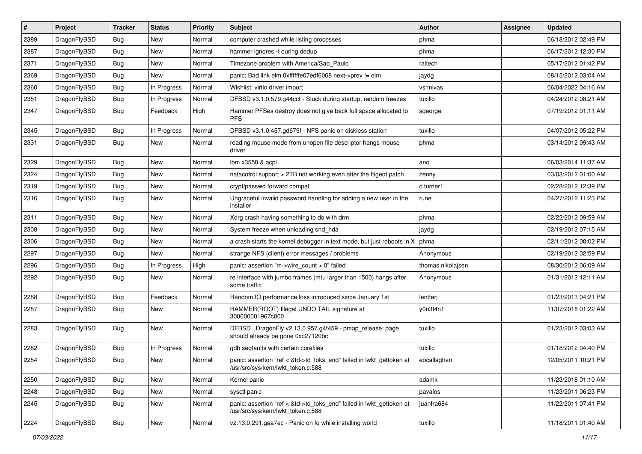| $\sharp$ | Project      | <b>Tracker</b> | <b>Status</b> | <b>Priority</b> | Subject                                                                                                    | <b>Author</b>     | <b>Assignee</b> | <b>Updated</b>      |
|----------|--------------|----------------|---------------|-----------------|------------------------------------------------------------------------------------------------------------|-------------------|-----------------|---------------------|
| 2389     | DragonFlyBSD | Bug            | New           | Normal          | computer crashed while listing processes                                                                   | phma              |                 | 06/18/2012 02:49 PM |
| 2387     | DragonFlyBSD | Bug            | <b>New</b>    | Normal          | hammer ignores -t during dedup                                                                             | phma              |                 | 06/17/2012 12:30 PM |
| 2371     | DragonFlyBSD | <b>Bug</b>     | New           | Normal          | Timezone problem with America/Sao_Paulo                                                                    | raitech           |                 | 05/17/2012 01:42 PM |
| 2369     | DragonFlyBSD | Bug            | New           | Normal          | panic: Bad link elm 0xffffffe07edf6068 next->prev != elm                                                   | jaydg             |                 | 08/15/2012 03:04 AM |
| 2360     | DragonFlyBSD | Bug            | In Progress   | Normal          | Wishlist: virtio driver import                                                                             | vsrinivas         |                 | 06/04/2022 04:16 AM |
| 2351     | DragonFlyBSD | Bug            | In Progress   | Normal          | DFBSD v3.1.0.579.g44ccf - Stuck during startup, random freezes                                             | tuxillo           |                 | 04/24/2012 08:21 AM |
| 2347     | DragonFlyBSD | Bug            | Feedback      | High            | Hammer PFSes destroy does not give back full space allocated to<br><b>PFS</b>                              | sgeorge           |                 | 07/19/2012 01:11 AM |
| 2345     | DragonFlyBSD | Bug            | In Progress   | Normal          | DFBSD v3.1.0.457.gd679f - NFS panic on diskless station                                                    | tuxillo           |                 | 04/07/2012 05:22 PM |
| 2331     | DragonFlyBSD | Bug            | <b>New</b>    | Normal          | reading mouse mode from unopen file descriptor hangs mouse<br>driver                                       | phma              |                 | 03/14/2012 09:43 AM |
| 2329     | DragonFlyBSD | Bug            | <b>New</b>    | Normal          | ibm x3550 & acpi                                                                                           | ano               |                 | 06/03/2014 11:37 AM |
| 2324     | DragonFlyBSD | Bug            | <b>New</b>    | Normal          | natacotrol support > 2TB not working even after the ftigeot patch                                          | zenny             |                 | 03/03/2012 01:00 AM |
| 2319     | DragonFlyBSD | Bug            | New           | Normal          | crypt/passwd forward compat                                                                                | c.turner1         |                 | 02/28/2012 12:39 PM |
| 2316     | DragonFlyBSD | Bug            | New           | Normal          | Ungraceful invalid password handling for adding a new user in the<br>installer                             | rune              |                 | 04/27/2012 11:23 PM |
| 2311     | DragonFlyBSD | Bug            | <b>New</b>    | Normal          | Xorg crash having something to do with drm                                                                 | phma              |                 | 02/22/2012 09:59 AM |
| 2308     | DragonFlyBSD | Bug            | New           | Normal          | System freeze when unloading snd_hda                                                                       | jaydg             |                 | 02/19/2012 07:15 AM |
| 2306     | DragonFlyBSD | Bug            | New           | Normal          | a crash starts the kernel debugger in text mode, but just reboots in X                                     | phma              |                 | 02/11/2012 08:02 PM |
| 2297     | DragonFlyBSD | Bug            | New           | Normal          | strange NFS (client) error messages / problems                                                             | Anonymous         |                 | 02/19/2012 02:59 PM |
| 2296     | DragonFlyBSD | Bug            | In Progress   | High            | panic: assertion "m->wire_count > 0" failed                                                                | thomas.nikolajsen |                 | 08/30/2012 06:09 AM |
| 2292     | DragonFlyBSD | Bug            | New           | Normal          | re interface with jumbo frames (mtu larger than 1500) hangs after<br>some traffic                          | Anonymous         |                 | 01/31/2012 12:11 AM |
| 2288     | DragonFlyBSD | Bug            | Feedback      | Normal          | Random IO performance loss introduced since January 1st                                                    | lentferj          |                 | 01/23/2013 04:21 PM |
| 2287     | DragonFlyBSD | Bug            | New           | Normal          | HAMMER(ROOT) Illegal UNDO TAIL signature at<br>300000001967c000                                            | y0n3t4n1          |                 | 11/07/2018 01:22 AM |
| 2283     | DragonFlyBSD | Bug            | <b>New</b>    | Normal          | DFBSD DragonFly v2.13.0.957.g4f459 - pmap_release: page<br>should already be gone 0xc27120bc               | tuxillo           |                 | 01/23/2012 03:03 AM |
| 2282     | DragonFlyBSD | Bug            | In Progress   | Normal          | gdb segfaults with certain corefiles                                                                       | tuxillo           |                 | 01/18/2012 04:40 PM |
| 2254     | DragonFlyBSD | Bug            | New           | Normal          | panic: assertion "ref < &td->td_toks_end" failed in lwkt_gettoken at<br>/usr/src/sys/kern/lwkt_token.c:588 | eocallaghan       |                 | 12/05/2011 10:21 PM |
| 2250     | DragonFlyBSD | <b>Bug</b>     | New           | Normal          | Kernel panic                                                                                               | adamk             |                 | 11/23/2018 01:10 AM |
| 2248     | DragonFlyBSD | Bug            | New           | Normal          | sysctl panic                                                                                               | pavalos           |                 | 11/23/2011 06:23 PM |
| 2245     | DragonFlyBSD | <b>Bug</b>     | New           | Normal          | panic: assertion "ref < &td->td_toks_end" failed in lwkt_gettoken at<br>/usr/src/sys/kern/lwkt_token.c:588 | juanfra684        |                 | 11/22/2011 07:41 PM |
| 2224     | DragonFlyBSD | <b>Bug</b>     | New           | Normal          | v2.13.0.291.gaa7ec - Panic on fq while installing world                                                    | tuxillo           |                 | 11/18/2011 01:40 AM |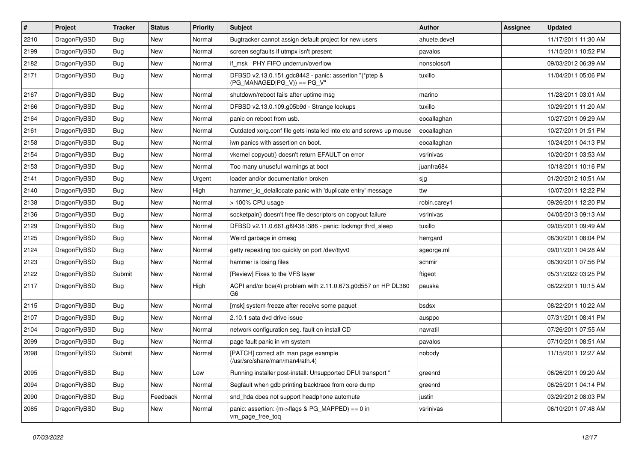| $\vert$ # | Project      | <b>Tracker</b> | <b>Status</b> | <b>Priority</b> | Subject                                                                                | Author       | Assignee | <b>Updated</b>      |
|-----------|--------------|----------------|---------------|-----------------|----------------------------------------------------------------------------------------|--------------|----------|---------------------|
| 2210      | DragonFlyBSD | <b>Bug</b>     | <b>New</b>    | Normal          | Bugtracker cannot assign default project for new users                                 | ahuete.devel |          | 11/17/2011 11:30 AM |
| 2199      | DragonFlyBSD | Bug            | <b>New</b>    | Normal          | screen segfaults if utmpx isn't present                                                | pavalos      |          | 11/15/2011 10:52 PM |
| 2182      | DragonFlyBSD | <b>Bug</b>     | <b>New</b>    | Normal          | if msk PHY FIFO underrun/overflow                                                      | nonsolosoft  |          | 09/03/2012 06:39 AM |
| 2171      | DragonFlyBSD | Bug            | New           | Normal          | DFBSD v2.13.0.151.gdc8442 - panic: assertion "(*ptep &<br>$(PG_MANAGED PG_V)$ == PG_V" | tuxillo      |          | 11/04/2011 05:06 PM |
| 2167      | DragonFlyBSD | <b>Bug</b>     | New           | Normal          | shutdown/reboot fails after uptime msg                                                 | marino       |          | 11/28/2011 03:01 AM |
| 2166      | DragonFlyBSD | Bug            | <b>New</b>    | Normal          | DFBSD v2.13.0.109.g05b9d - Strange lockups                                             | tuxillo      |          | 10/29/2011 11:20 AM |
| 2164      | DragonFlyBSD | <b>Bug</b>     | New           | Normal          | panic on reboot from usb.                                                              | eocallaghan  |          | 10/27/2011 09:29 AM |
| 2161      | DragonFlyBSD | Bug            | <b>New</b>    | Normal          | Outdated xorg.conf file gets installed into etc and screws up mouse                    | eocallaghan  |          | 10/27/2011 01:51 PM |
| 2158      | DragonFlyBSD | Bug            | <b>New</b>    | Normal          | iwn panics with assertion on boot.                                                     | eocallaghan  |          | 10/24/2011 04:13 PM |
| 2154      | DragonFlyBSD | Bug            | <b>New</b>    | Normal          | vkernel copyout() doesn't return EFAULT on error                                       | vsrinivas    |          | 10/20/2011 03:53 AM |
| 2153      | DragonFlyBSD | Bug            | <b>New</b>    | Normal          | Too many unuseful warnings at boot                                                     | juanfra684   |          | 10/18/2011 10:16 PM |
| 2141      | DragonFlyBSD | <b>Bug</b>     | New           | Urgent          | loader and/or documentation broken                                                     | sjg          |          | 01/20/2012 10:51 AM |
| 2140      | DragonFlyBSD | Bug            | <b>New</b>    | High            | hammer_io_delallocate panic with 'duplicate entry' message                             | ttw          |          | 10/07/2011 12:22 PM |
| 2138      | DragonFlyBSD | Bug            | <b>New</b>    | Normal          | > 100% CPU usage                                                                       | robin.carey1 |          | 09/26/2011 12:20 PM |
| 2136      | DragonFlyBSD | <b>Bug</b>     | <b>New</b>    | Normal          | socketpair() doesn't free file descriptors on copyout failure                          | vsrinivas    |          | 04/05/2013 09:13 AM |
| 2129      | DragonFlyBSD | Bug            | <b>New</b>    | Normal          | DFBSD v2.11.0.661.gf9438 i386 - panic: lockmgr thrd sleep                              | tuxillo      |          | 09/05/2011 09:49 AM |
| 2125      | DragonFlyBSD | Bug            | <b>New</b>    | Normal          | Weird garbage in dmesg                                                                 | herrgard     |          | 08/30/2011 08:04 PM |
| 2124      | DragonFlyBSD | <b>Bug</b>     | <b>New</b>    | Normal          | getty repeating too quickly on port /dev/ttyv0                                         | sgeorge.ml   |          | 09/01/2011 04:28 AM |
| 2123      | DragonFlyBSD | Bug            | <b>New</b>    | Normal          | hammer is losing files                                                                 | schmir       |          | 08/30/2011 07:56 PM |
| 2122      | DragonFlyBSD | Submit         | New           | Normal          | [Review] Fixes to the VFS layer                                                        | ftigeot      |          | 05/31/2022 03:25 PM |
| 2117      | DragonFlyBSD | Bug            | <b>New</b>    | High            | ACPI and/or bce(4) problem with 2.11.0.673.g0d557 on HP DL380<br>G6                    | pauska       |          | 08/22/2011 10:15 AM |
| 2115      | DragonFlyBSD | <b>Bug</b>     | <b>New</b>    | Normal          | [msk] system freeze after receive some paquet                                          | bsdsx        |          | 08/22/2011 10:22 AM |
| 2107      | DragonFlyBSD | Bug            | New           | Normal          | 2.10.1 sata dvd drive issue                                                            | ausppc       |          | 07/31/2011 08:41 PM |
| 2104      | DragonFlyBSD | <b>Bug</b>     | <b>New</b>    | Normal          | network configuration seg. fault on install CD                                         | navratil     |          | 07/26/2011 07:55 AM |
| 2099      | DragonFlyBSD | Bug            | <b>New</b>    | Normal          | page fault panic in vm system                                                          | pavalos      |          | 07/10/2011 08:51 AM |
| 2098      | DragonFlyBSD | Submit         | <b>New</b>    | Normal          | [PATCH] correct ath man page example<br>$\frac{1}{2}$ (/usr/src/share/man/man4/ath.4)  | nobody       |          | 11/15/2011 12:27 AM |
| 2095      | DragonFlyBSD | <b>Bug</b>     | New           | Low             | Running installer post-install: Unsupported DFUI transport "                           | greenrd      |          | 06/26/2011 09:20 AM |
| 2094      | DragonFlyBSD | Bug            | New           | Normal          | Segfault when gdb printing backtrace from core dump                                    | greenrd      |          | 06/25/2011 04:14 PM |
| 2090      | DragonFlyBSD | <b>Bug</b>     | Feedback      | Normal          | snd hda does not support headphone automute                                            | justin       |          | 03/29/2012 08:03 PM |
| 2085      | DragonFlyBSD | Bug            | New           | Normal          | panic: assertion: (m->flags & PG_MAPPED) == 0 in<br>vm_page_free_toq                   | vsrinivas    |          | 06/10/2011 07:48 AM |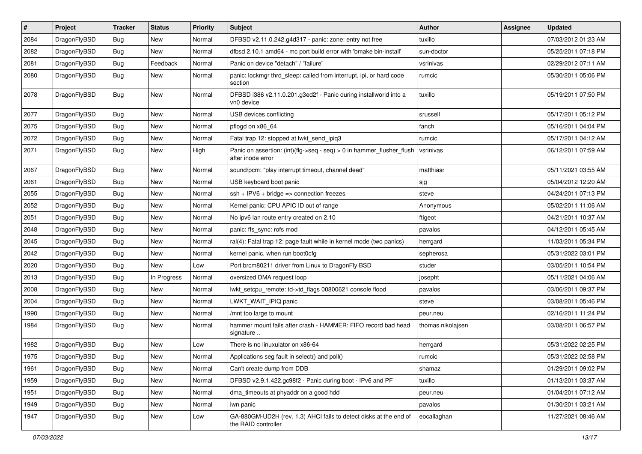| $\sharp$ | Project      | <b>Tracker</b> | <b>Status</b> | <b>Priority</b> | Subject                                                                                    | <b>Author</b>     | Assignee | <b>Updated</b>      |
|----------|--------------|----------------|---------------|-----------------|--------------------------------------------------------------------------------------------|-------------------|----------|---------------------|
| 2084     | DragonFlyBSD | Bug            | New           | Normal          | DFBSD v2.11.0.242.g4d317 - panic: zone: entry not free                                     | tuxillo           |          | 07/03/2012 01:23 AM |
| 2082     | DragonFlyBSD | <b>Bug</b>     | New           | Normal          | dfbsd 2.10.1 amd64 - mc port build error with 'bmake bin-install'                          | sun-doctor        |          | 05/25/2011 07:18 PM |
| 2081     | DragonFlyBSD | <b>Bug</b>     | Feedback      | Normal          | Panic on device "detach" / "failure"                                                       | vsrinivas         |          | 02/29/2012 07:11 AM |
| 2080     | DragonFlyBSD | <b>Bug</b>     | New           | Normal          | panic: lockmgr thrd_sleep: called from interrupt, ipi, or hard code<br>section             | rumcic            |          | 05/30/2011 05:06 PM |
| 2078     | DragonFlyBSD | <b>Bug</b>     | New           | Normal          | DFBSD i386 v2.11.0.201.g3ed2f - Panic during installworld into a<br>vn0 device             | tuxillo           |          | 05/19/2011 07:50 PM |
| 2077     | DragonFlyBSD | <b>Bug</b>     | <b>New</b>    | Normal          | USB devices conflicting                                                                    | srussell          |          | 05/17/2011 05:12 PM |
| 2075     | DragonFlyBSD | <b>Bug</b>     | <b>New</b>    | Normal          | pflogd on x86_64                                                                           | fanch             |          | 05/16/2011 04:04 PM |
| 2072     | DragonFlyBSD | <b>Bug</b>     | New           | Normal          | Fatal trap 12: stopped at lwkt_send_ipiq3                                                  | rumcic            |          | 05/17/2011 04:12 AM |
| 2071     | DragonFlyBSD | <b>Bug</b>     | <b>New</b>    | High            | Panic on assertion: (int)(flg->seq - seq) > 0 in hammer_flusher_flush<br>after inode error | vsrinivas         |          | 06/12/2011 07:59 AM |
| 2067     | DragonFlyBSD | <b>Bug</b>     | <b>New</b>    | Normal          | sound/pcm: "play interrupt timeout, channel dead"                                          | matthiasr         |          | 05/11/2021 03:55 AM |
| 2061     | DragonFlyBSD | <b>Bug</b>     | New           | Normal          | USB keyboard boot panic                                                                    | sjg               |          | 05/04/2012 12:20 AM |
| 2055     | DragonFlyBSD | <b>Bug</b>     | New           | Normal          | $ssh + IPV6 + bridge \Rightarrow connection freezes$                                       | steve             |          | 04/24/2011 07:13 PM |
| 2052     | DragonFlyBSD | <b>Bug</b>     | <b>New</b>    | Normal          | Kernel panic: CPU APIC ID out of range                                                     | Anonymous         |          | 05/02/2011 11:06 AM |
| 2051     | DragonFlyBSD | <b>Bug</b>     | New           | Normal          | No ipv6 lan route entry created on 2.10                                                    | ftigeot           |          | 04/21/2011 10:37 AM |
| 2048     | DragonFlyBSD | <b>Bug</b>     | <b>New</b>    | Normal          | panic: ffs_sync: rofs mod                                                                  | pavalos           |          | 04/12/2011 05:45 AM |
| 2045     | DragonFlyBSD | <b>Bug</b>     | New           | Normal          | ral(4): Fatal trap 12: page fault while in kernel mode (two panics)                        | herrgard          |          | 11/03/2011 05:34 PM |
| 2042     | DragonFlyBSD | <b>Bug</b>     | New           | Normal          | kernel panic, when run boot0cfg                                                            | sepherosa         |          | 05/31/2022 03:01 PM |
| 2020     | DragonFlyBSD | <b>Bug</b>     | New           | Low             | Port brcm80211 driver from Linux to DragonFly BSD                                          | studer            |          | 03/05/2011 10:54 PM |
| 2013     | DragonFlyBSD | <b>Bug</b>     | In Progress   | Normal          | oversized DMA request loop                                                                 | josepht           |          | 05/11/2021 04:06 AM |
| 2008     | DragonFlyBSD | <b>Bug</b>     | <b>New</b>    | Normal          | lwkt_setcpu_remote: td->td_flags 00800621 console flood                                    | pavalos           |          | 03/06/2011 09:37 PM |
| 2004     | DragonFlyBSD | <b>Bug</b>     | <b>New</b>    | Normal          | LWKT_WAIT_IPIQ panic                                                                       | steve             |          | 03/08/2011 05:46 PM |
| 1990     | DragonFlyBSD | <b>Bug</b>     | New           | Normal          | /mnt too large to mount                                                                    | peur.neu          |          | 02/16/2011 11:24 PM |
| 1984     | DragonFlyBSD | <b>Bug</b>     | New           | Normal          | hammer mount fails after crash - HAMMER: FIFO record bad head<br>signature                 | thomas.nikolajsen |          | 03/08/2011 06:57 PM |
| 1982     | DragonFlyBSD | <b>Bug</b>     | New           | Low             | There is no linuxulator on x86-64                                                          | herrgard          |          | 05/31/2022 02:25 PM |
| 1975     | DragonFlyBSD | Bug            | <b>New</b>    | Normal          | Applications seg fault in select() and poll()                                              | rumcic            |          | 05/31/2022 02:58 PM |
| 1961     | DragonFlyBSD | <b>Bug</b>     | New           | Normal          | Can't create dump from DDB                                                                 | shamaz            |          | 01/29/2011 09:02 PM |
| 1959     | DragonFlyBSD | <b>Bug</b>     | <b>New</b>    | Normal          | DFBSD v2.9.1.422.gc98f2 - Panic during boot - IPv6 and PF                                  | tuxillo           |          | 01/13/2011 03:37 AM |
| 1951     | DragonFlyBSD | <b>Bug</b>     | New           | Normal          | dma timeouts at phyaddr on a good hdd                                                      | peur.neu          |          | 01/04/2011 07:12 AM |
| 1949     | DragonFlyBSD | <b>Bug</b>     | New           | Normal          | iwn panic                                                                                  | pavalos           |          | 01/30/2011 03:21 AM |
| 1947     | DragonFlyBSD | Bug            | New           | Low             | GA-880GM-UD2H (rev. 1.3) AHCI fails to detect disks at the end of<br>the RAID controller   | eocallaghan       |          | 11/27/2021 08:46 AM |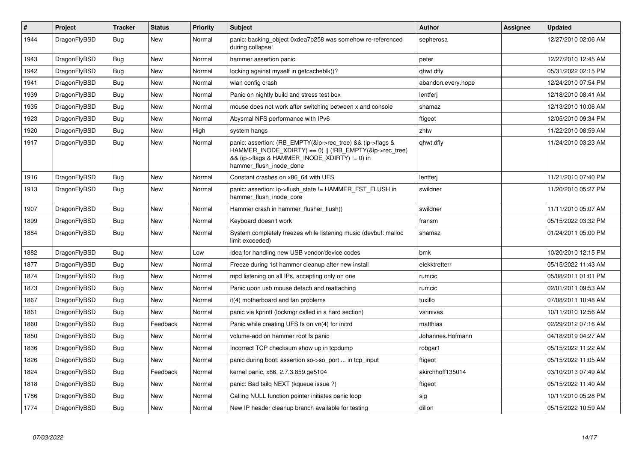| $\vert$ # | Project      | Tracker    | <b>Status</b> | <b>Priority</b> | <b>Subject</b>                                                                                                                                                                                    | <b>Author</b>      | Assignee | <b>Updated</b>      |
|-----------|--------------|------------|---------------|-----------------|---------------------------------------------------------------------------------------------------------------------------------------------------------------------------------------------------|--------------------|----------|---------------------|
| 1944      | DragonFlyBSD | Bug        | <b>New</b>    | Normal          | panic: backing_object 0xdea7b258 was somehow re-referenced<br>during collapse!                                                                                                                    | sepherosa          |          | 12/27/2010 02:06 AM |
| 1943      | DragonFlyBSD | Bug        | New           | Normal          | hammer assertion panic                                                                                                                                                                            | peter              |          | 12/27/2010 12:45 AM |
| 1942      | DragonFlyBSD | <b>Bug</b> | <b>New</b>    | Normal          | locking against myself in getcacheblk()?                                                                                                                                                          | qhwt.dfly          |          | 05/31/2022 02:15 PM |
| 1941      | DragonFlyBSD | Bug        | New           | Normal          | wlan config crash                                                                                                                                                                                 | abandon.every.hope |          | 12/24/2010 07:54 PM |
| 1939      | DragonFlyBSD | <b>Bug</b> | <b>New</b>    | Normal          | Panic on nightly build and stress test box                                                                                                                                                        | lentferj           |          | 12/18/2010 08:41 AM |
| 1935      | DragonFlyBSD | Bug        | New           | Normal          | mouse does not work after switching between x and console                                                                                                                                         | shamaz             |          | 12/13/2010 10:06 AM |
| 1923      | DragonFlyBSD | <b>Bug</b> | <b>New</b>    | Normal          | Abysmal NFS performance with IPv6                                                                                                                                                                 | ftigeot            |          | 12/05/2010 09:34 PM |
| 1920      | DragonFlyBSD | <b>Bug</b> | <b>New</b>    | High            | system hangs                                                                                                                                                                                      | zhtw               |          | 11/22/2010 08:59 AM |
| 1917      | DragonFlyBSD | <b>Bug</b> | <b>New</b>    | Normal          | panic: assertion: (RB_EMPTY(&ip->rec_tree) && (ip->flags &<br>HAMMER INODE XDIRTY) == 0)    (!RB EMPTY(&ip->rec tree)<br>&& (ip->flags & HAMMER INODE XDIRTY) != 0) in<br>hammer_flush_inode_done | qhwt.dfly          |          | 11/24/2010 03:23 AM |
| 1916      | DragonFlyBSD | <b>Bug</b> | <b>New</b>    | Normal          | Constant crashes on x86 64 with UFS                                                                                                                                                               | lentferi           |          | 11/21/2010 07:40 PM |
| 1913      | DragonFlyBSD | <b>Bug</b> | <b>New</b>    | Normal          | panic: assertion: ip->flush_state != HAMMER_FST_FLUSH in<br>hammer flush inode core                                                                                                               | swildner           |          | 11/20/2010 05:27 PM |
| 1907      | DragonFlyBSD | Bug        | <b>New</b>    | Normal          | Hammer crash in hammer flusher flush()                                                                                                                                                            | swildner           |          | 11/11/2010 05:07 AM |
| 1899      | DragonFlyBSD | <b>Bug</b> | <b>New</b>    | Normal          | Keyboard doesn't work                                                                                                                                                                             | fransm             |          | 05/15/2022 03:32 PM |
| 1884      | DragonFlyBSD | <b>Bug</b> | <b>New</b>    | Normal          | System completely freezes while listening music (devbuf: malloc<br>limit exceeded)                                                                                                                | shamaz             |          | 01/24/2011 05:00 PM |
| 1882      | DragonFlyBSD | <b>Bug</b> | <b>New</b>    | Low             | Idea for handling new USB vendor/device codes                                                                                                                                                     | bmk                |          | 10/20/2010 12:15 PM |
| 1877      | DragonFlyBSD | Bug        | <b>New</b>    | Normal          | Freeze during 1st hammer cleanup after new install                                                                                                                                                | elekktretterr      |          | 05/15/2022 11:43 AM |
| 1874      | DragonFlyBSD | <b>Bug</b> | <b>New</b>    | Normal          | mpd listening on all IPs, accepting only on one                                                                                                                                                   | rumcic             |          | 05/08/2011 01:01 PM |
| 1873      | DragonFlyBSD | Bug        | <b>New</b>    | Normal          | Panic upon usb mouse detach and reattaching                                                                                                                                                       | rumcic             |          | 02/01/2011 09:53 AM |
| 1867      | DragonFlyBSD | Bug        | <b>New</b>    | Normal          | it(4) motherboard and fan problems                                                                                                                                                                | tuxillo            |          | 07/08/2011 10:48 AM |
| 1861      | DragonFlyBSD | <b>Bug</b> | New           | Normal          | panic via kprintf (lockmgr called in a hard section)                                                                                                                                              | vsrinivas          |          | 10/11/2010 12:56 AM |
| 1860      | DragonFlyBSD | <b>Bug</b> | Feedback      | Normal          | Panic while creating UFS fs on vn(4) for initrd                                                                                                                                                   | matthias           |          | 02/29/2012 07:16 AM |
| 1850      | DragonFlyBSD | <b>Bug</b> | <b>New</b>    | Normal          | volume-add on hammer root fs panic                                                                                                                                                                | Johannes.Hofmann   |          | 04/18/2019 04:27 AM |
| 1836      | DragonFlyBSD | Bug        | <b>New</b>    | Normal          | Incorrect TCP checksum show up in tcpdump                                                                                                                                                         | robgar1            |          | 05/15/2022 11:22 AM |
| 1826      | DragonFlyBSD | <b>Bug</b> | <b>New</b>    | Normal          | panic during boot: assertion so->so_port  in tcp_input                                                                                                                                            | ftigeot            |          | 05/15/2022 11:05 AM |
| 1824      | DragonFlyBSD | Bug        | Feedback      | Normal          | kernel panic, x86, 2.7.3.859.ge5104                                                                                                                                                               | akirchhoff135014   |          | 03/10/2013 07:49 AM |
| 1818      | DragonFlyBSD | <b>Bug</b> | <b>New</b>    | Normal          | panic: Bad tailq NEXT (kqueue issue ?)                                                                                                                                                            | ftigeot            |          | 05/15/2022 11:40 AM |
| 1786      | DragonFlyBSD | Bug        | <b>New</b>    | Normal          | Calling NULL function pointer initiates panic loop                                                                                                                                                | sjg                |          | 10/11/2010 05:28 PM |
| 1774      | DragonFlyBSD | <b>Bug</b> | <b>New</b>    | Normal          | New IP header cleanup branch available for testing                                                                                                                                                | dillon             |          | 05/15/2022 10:59 AM |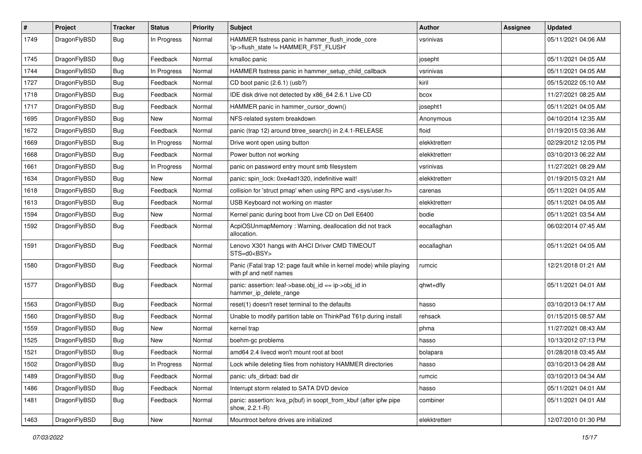| $\pmb{\#}$ | Project      | <b>Tracker</b> | <b>Status</b> | <b>Priority</b> | Subject                                                                                         | Author        | Assignee | <b>Updated</b>      |
|------------|--------------|----------------|---------------|-----------------|-------------------------------------------------------------------------------------------------|---------------|----------|---------------------|
| 1749       | DragonFlyBSD | Bug            | In Progress   | Normal          | HAMMER fsstress panic in hammer_flush_inode_core<br>'ip->flush_state != HAMMER_FST_FLUSH'       | vsrinivas     |          | 05/11/2021 04:06 AM |
| 1745       | DragonFlyBSD | <b>Bug</b>     | Feedback      | Normal          | kmalloc panic                                                                                   | josepht       |          | 05/11/2021 04:05 AM |
| 1744       | DragonFlyBSD | Bug            | In Progress   | Normal          | HAMMER fsstress panic in hammer_setup_child_callback                                            | vsrinivas     |          | 05/11/2021 04:05 AM |
| 1727       | DragonFlyBSD | <b>Bug</b>     | Feedback      | Normal          | CD boot panic (2.6.1) (usb?)                                                                    | kiril         |          | 05/15/2022 05:10 AM |
| 1718       | DragonFlyBSD | Bug            | Feedback      | Normal          | IDE disk drive not detected by x86_64 2.6.1 Live CD                                             | bcox          |          | 11/27/2021 08:25 AM |
| 1717       | DragonFlyBSD | Bug            | Feedback      | Normal          | HAMMER panic in hammer_cursor_down()                                                            | josepht1      |          | 05/11/2021 04:05 AM |
| 1695       | DragonFlyBSD | <b>Bug</b>     | New           | Normal          | NFS-related system breakdown                                                                    | Anonymous     |          | 04/10/2014 12:35 AM |
| 1672       | DragonFlyBSD | <b>Bug</b>     | Feedback      | Normal          | panic (trap 12) around btree_search() in 2.4.1-RELEASE                                          | floid         |          | 01/19/2015 03:36 AM |
| 1669       | DragonFlyBSD | <b>Bug</b>     | In Progress   | Normal          | Drive wont open using button                                                                    | elekktretterr |          | 02/29/2012 12:05 PM |
| 1668       | DragonFlyBSD | <b>Bug</b>     | Feedback      | Normal          | Power button not working                                                                        | elekktretterr |          | 03/10/2013 06:22 AM |
| 1661       | DragonFlyBSD | Bug            | In Progress   | Normal          | panic on password entry mount smb filesystem                                                    | vsrinivas     |          | 11/27/2021 08:29 AM |
| 1634       | DragonFlyBSD | <b>Bug</b>     | New           | Normal          | panic: spin_lock: 0xe4ad1320, indefinitive wait!                                                | elekktretterr |          | 01/19/2015 03:21 AM |
| 1618       | DragonFlyBSD | Bug            | Feedback      | Normal          | collision for 'struct pmap' when using RPC and <sys user.h=""></sys>                            | carenas       |          | 05/11/2021 04:05 AM |
| 1613       | DragonFlyBSD | Bug            | Feedback      | Normal          | USB Keyboard not working on master                                                              | elekktretterr |          | 05/11/2021 04:05 AM |
| 1594       | DragonFlyBSD | <b>Bug</b>     | New           | Normal          | Kernel panic during boot from Live CD on Dell E6400                                             | bodie         |          | 05/11/2021 03:54 AM |
| 1592       | DragonFlyBSD | Bug            | Feedback      | Normal          | AcpiOSUnmapMemory: Warning, deallocation did not track<br>allocation.                           | eocallaghan   |          | 06/02/2014 07:45 AM |
| 1591       | DragonFlyBSD | Bug            | Feedback      | Normal          | Lenovo X301 hangs with AHCI Driver CMD TIMEOUT<br>STS=d0 <bsy></bsy>                            | eocallaghan   |          | 05/11/2021 04:05 AM |
| 1580       | DragonFlyBSD | <b>Bug</b>     | Feedback      | Normal          | Panic (Fatal trap 12: page fault while in kernel mode) while playing<br>with pf and netif names | rumcic        |          | 12/21/2018 01:21 AM |
| 1577       | DragonFlyBSD | <b>Bug</b>     | Feedback      | Normal          | panic: assertion: leaf->base.obj_id == ip->obj_id in<br>hammer_ip_delete_range                  | qhwt+dfly     |          | 05/11/2021 04:01 AM |
| 1563       | DragonFlyBSD | Bug            | Feedback      | Normal          | reset(1) doesn't reset terminal to the defaults                                                 | hasso         |          | 03/10/2013 04:17 AM |
| 1560       | DragonFlyBSD | <b>Bug</b>     | Feedback      | Normal          | Unable to modify partition table on ThinkPad T61p during install                                | rehsack       |          | 01/15/2015 08:57 AM |
| 1559       | DragonFlyBSD | <b>Bug</b>     | New           | Normal          | kernel trap                                                                                     | phma          |          | 11/27/2021 08:43 AM |
| 1525       | DragonFlyBSD | Bug            | <b>New</b>    | Normal          | boehm-gc problems                                                                               | hasso         |          | 10/13/2012 07:13 PM |
| 1521       | DragonFlyBSD | <b>Bug</b>     | Feedback      | Normal          | amd64 2.4 livecd won't mount root at boot                                                       | bolapara      |          | 01/28/2018 03:45 AM |
| 1502       | DragonFlyBSD | Bug            | In Progress   | Normal          | Lock while deleting files from nohistory HAMMER directories                                     | nasso         |          | 03/10/2013 04:28 AM |
| 1489       | DragonFlyBSD | <b>Bug</b>     | Feedback      | Normal          | panic: ufs_dirbad: bad dir                                                                      | rumcic        |          | 03/10/2013 04:34 AM |
| 1486       | DragonFlyBSD | <b>Bug</b>     | Feedback      | Normal          | Interrupt storm related to SATA DVD device                                                      | hasso         |          | 05/11/2021 04:01 AM |
| 1481       | DragonFlyBSD | Bug            | Feedback      | Normal          | panic: assertion: kva_p(buf) in soopt_from_kbuf (after ipfw pipe<br>show, 2.2.1-R)              | combiner      |          | 05/11/2021 04:01 AM |
| 1463       | DragonFlyBSD | Bug            | New           | Normal          | Mountroot before drives are initialized                                                         | elekktretterr |          | 12/07/2010 01:30 PM |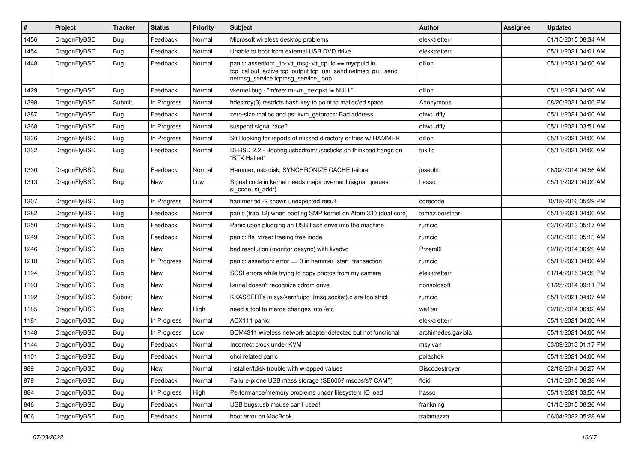| $\pmb{\#}$ | Project      | <b>Tracker</b> | <b>Status</b> | <b>Priority</b> | Subject                                                                                                                                                   | Author             | <b>Assignee</b> | <b>Updated</b>      |
|------------|--------------|----------------|---------------|-----------------|-----------------------------------------------------------------------------------------------------------------------------------------------------------|--------------------|-----------------|---------------------|
| 1456       | DragonFlyBSD | Bug            | Feedback      | Normal          | Microsoft wireless desktop problems                                                                                                                       | elekktretterr      |                 | 01/15/2015 08:34 AM |
| 1454       | DragonFlyBSD | Bug            | Feedback      | Normal          | Unable to boot from external USB DVD drive                                                                                                                | elekktretterr      |                 | 05/11/2021 04:01 AM |
| 1448       | DragonFlyBSD | Bug            | Feedback      | Normal          | panic: assertion: _tp->tt_msg->tt_cpuid == mycpuid in<br>tcp_callout_active tcp_output tcp_usr_send netmsg_pru_send<br>netmsg_service tcpmsg_service_loop | dillon             |                 | 05/11/2021 04:00 AM |
| 1429       | DragonFlyBSD | Bug            | Feedback      | Normal          | vkernel bug - "mfree: m->m_nextpkt != NULL"                                                                                                               | dillon             |                 | 05/11/2021 04:00 AM |
| 1398       | DragonFlyBSD | Submit         | In Progress   | Normal          | hdestroy(3) restricts hash key to point to malloc'ed space                                                                                                | Anonymous          |                 | 08/20/2021 04:06 PM |
| 1387       | DragonFlyBSD | <b>Bug</b>     | Feedback      | Normal          | zero-size malloc and ps: kvm getprocs: Bad address                                                                                                        | qhwt+dfly          |                 | 05/11/2021 04:00 AM |
| 1368       | DragonFlyBSD | <b>Bug</b>     | In Progress   | Normal          | suspend signal race?                                                                                                                                      | qhwt+dfly          |                 | 05/11/2021 03:51 AM |
| 1336       | DragonFlyBSD | Bug            | In Progress   | Normal          | Still looking for reports of missed directory entries w/ HAMMER                                                                                           | dillon             |                 | 05/11/2021 04:00 AM |
| 1332       | DragonFlyBSD | <b>Bug</b>     | Feedback      | Normal          | DFBSD 2.2 - Booting usbcdrom/usbsticks on thinkpad hangs on<br>"BTX Halted"                                                                               | tuxillo            |                 | 05/11/2021 04:00 AM |
| 1330       | DragonFlyBSD | Bug            | Feedback      | Normal          | Hammer, usb disk, SYNCHRONIZE CACHE failure                                                                                                               | josepht            |                 | 06/02/2014 04:56 AM |
| 1313       | DragonFlyBSD | <b>Bug</b>     | New           | Low             | Signal code in kernel needs major overhaul (signal queues,<br>si_code, si_addr)                                                                           | hasso              |                 | 05/11/2021 04:00 AM |
| 1307       | DragonFlyBSD | Bug            | In Progress   | Normal          | hammer tid -2 shows unexpected result                                                                                                                     | corecode           |                 | 10/18/2016 05:29 PM |
| 1282       | DragonFlyBSD | <b>Bug</b>     | Feedback      | Normal          | panic (trap 12) when booting SMP kernel on Atom 330 (dual core)                                                                                           | tomaz.borstnar     |                 | 05/11/2021 04:00 AM |
| 1250       | DragonFlyBSD | <b>Bug</b>     | Feedback      | Normal          | Panic upon plugging an USB flash drive into the machine                                                                                                   | rumcic             |                 | 03/10/2013 05:17 AM |
| 1249       | DragonFlyBSD | <b>Bug</b>     | Feedback      | Normal          | panic: ffs vfree: freeing free inode                                                                                                                      | rumcic             |                 | 03/10/2013 05:13 AM |
| 1246       | DragonFlyBSD | Bug            | New           | Normal          | bad resolution (monitor desync) with livedvd                                                                                                              | Przem0l            |                 | 02/18/2014 06:29 AM |
| 1218       | DragonFlyBSD | <b>Bug</b>     | In Progress   | Normal          | panic: assertion: $error == 0$ in hammer start transaction                                                                                                | rumcic             |                 | 05/11/2021 04:00 AM |
| 1194       | DragonFlyBSD | Bug            | New           | Normal          | SCSI errors while trying to copy photos from my camera                                                                                                    | elekktretterr      |                 | 01/14/2015 04:39 PM |
| 1193       | DragonFlyBSD | <b>Bug</b>     | <b>New</b>    | Normal          | kernel doesn't recognize cdrom drive                                                                                                                      | nonsolosoft        |                 | 01/25/2014 09:11 PM |
| 1192       | DragonFlyBSD | Submit         | New           | Normal          | KKASSERTs in sys/kern/uipc_{msg,socket}.c are too strict                                                                                                  | rumcic             |                 | 05/11/2021 04:07 AM |
| 1185       | DragonFlyBSD | Bug            | New           | High            | need a tool to merge changes into /etc                                                                                                                    | wa1ter             |                 | 02/18/2014 06:02 AM |
| 1181       | DragonFlyBSD | <b>Bug</b>     | In Progress   | Normal          | ACX111 panic                                                                                                                                              | elekktretterr      |                 | 05/11/2021 04:00 AM |
| 1148       | DragonFlyBSD | <b>Bug</b>     | In Progress   | Low             | BCM4311 wireless network adapter detected but not functional                                                                                              | archimedes.gaviola |                 | 05/11/2021 04:00 AM |
| 1144       | DragonFlyBSD | <b>Bug</b>     | Feedback      | Normal          | Incorrect clock under KVM                                                                                                                                 | msylvan            |                 | 03/09/2013 01:17 PM |
| 1101       | DragonFlyBSD | <b>Bug</b>     | Feedback      | Normal          | ohci related panic                                                                                                                                        | polachok           |                 | 05/11/2021 04:00 AM |
| 989        | DragonFlyBSD | <b>Bug</b>     | New           | Normal          | installer/fdisk trouble with wrapped values                                                                                                               | Discodestroyer     |                 | 02/18/2014 06:27 AM |
| 979        | DragonFlyBSD | <b>Bug</b>     | Feedback      | Normal          | Failure-prone USB mass storage (SB600? msdosfs? CAM?)                                                                                                     | floid              |                 | 01/15/2015 08:38 AM |
| 884        | DragonFlyBSD | <b>Bug</b>     | In Progress   | High            | Performance/memory problems under filesystem IO load                                                                                                      | hasso              |                 | 05/11/2021 03:50 AM |
| 846        | DragonFlyBSD | <b>Bug</b>     | Feedback      | Normal          | USB bugs:usb mouse can't used!                                                                                                                            | frankning          |                 | 01/15/2015 08:36 AM |
| 806        | DragonFlyBSD | <b>Bug</b>     | Feedback      | Normal          | boot error on MacBook                                                                                                                                     | tralamazza         |                 | 06/04/2022 05:28 AM |